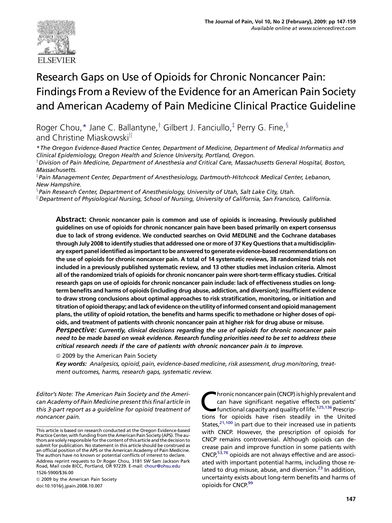<span id="page-0-0"></span>

# Research Gaps on Use of Opioids for Chronic Noncancer Pain: Findings From a Review of the Evidence for an American Pain Society and American Academy of Pain Medicine Clinical Practice Guideline

Roger Chou,\* Jane C. Ballantyne,<sup>†</sup> Gilbert J. Fanciullo, $\frac{4}{3}$  Perry G. Fine,  $\frac{8}{3}$ and Christine Miaskowski<sup>ll</sup>

\*The Oregon Evidence-Based Practice Center, Department of Medicine, Department of Medical Informatics and Clinical Epidemiology, Oregon Health and Science University, Portland, Oregon.

 $^\dagger$ Division of Pain Medicine, Department of Anesthesia and Critical Care, Massachusetts General Hospital, Boston, Massachusetts.

 $^\ddagger$ Pain Management Center, Department of Anesthesiology, Dartmouth-Hitchcock Medical Center, Lebanon, New Hampshire.

 ${}^{\S}$ Pain Research Center, Department of Anesthesiology, University of Utah, Salt Lake City, Utah.

jjDepartment of Physiological Nursing, School of Nursing, University of California, San Francisco, California.

Abstract: Chronic noncancer pain is common and use of opioids is increasing. Previously published guidelines on use of opioids for chronic noncancer pain have been based primarily on expert consensus due to lack of strong evidence. We conducted searches on Ovid MEDLINE and the Cochrane databases through July 2008 to identify studies that addressed one or more of 37 Key Questions that a multidisciplinary expert panel identified as important to be answered to generate evidence-based recommendations on the use of opioids for chronic noncancer pain. A total of 14 systematic reviews, 38 randomized trials not included in a previously published systematic review, and 13 other studies met inclusion criteria. Almost all of the randomized trials of opioids for chronic noncancer pain were short-term efficacy studies. Critical research gaps on use of opioids for chronic noncancer pain include: lack of effectiveness studies on longterm benefits and harms of opioids (including drug abuse, addiction, and diversion); insufficient evidence to draw strong conclusions about optimal approaches to risk stratification, monitoring, or initiation and titration of opioid therapy; and lack of evidence on the utility of informed consent and opioid management plans, the utility of opioid rotation, the benefits and harms specific to methadone or higher doses of opioids, and treatment of patients with chronic noncancer pain at higher risk for drug abuse or misuse.

Perspective: Currently, clinical decisions regarding the use of opioids for chronic noncancer pain need to be made based on weak evidence. Research funding priorities need to be set to address these critical research needs if the care of patients with chronic noncancer pain is to improve.

<sup>©</sup> 2009 by the American Pain Society

Key words: Analgesics, opioid, pain, evidence-based medicine, risk assessment, drug monitoring, treatment outcomes, harms, research gaps, systematic review.

Editor's Note: The American Pain Society and the American Academy of Pain Medicine present this final article in this 3-part report as a guideline for opioid treatment of noncancer pain.

 $@$  2009 by the American Pain Society doi:10.1016/j.jpain.2008.10.007

**Chronic noncancer pain (CNCP) is highly prevalent and<br>can have significant negative effects on patients'<br>functional capacity and quality of life.<sup>125,136</sup> Prescrip-<br>tions for onioids have risen steadily in the United** can have significant negative effects on patients' tions for opioids have risen steadily in the United States, $21,100$  in part due to their increased use in patients with CNCP. However, the prescription of opioids for CNCP remains controversial. Although opioids can decrease pain and improve function in some patients with CNCP,<sup>53,76</sup> opioids are not always effective and are associated with important potential harms, including those re-lated to drug misuse, abuse, and diversion.<sup>[23](#page-8-0)</sup> In addition, uncertainty exists about long-term benefits and harms of opioids for CNCP.<sup>[99](#page-11-0)</sup>

This article is based on research conducted at the Oregon Evidence-based Practice Center, with funding from the American Pain Society (APS). The authors are solely responsible for the content of this article and the decision to submit for publication. No statement in this article should be construed as an official position of the APS or the American Academy of Pain Medicine. The authors have no known or potential conflicts of interest to declare. Address reprint requests to Dr Roger Chou, 3181 SW Sam Jackson Park Road, Mail code BICC, Portland, OR 97239. E-mail: [chour@ohsu.edu](mailto:chour@ohsu.edu) 1526-5900/\$36.00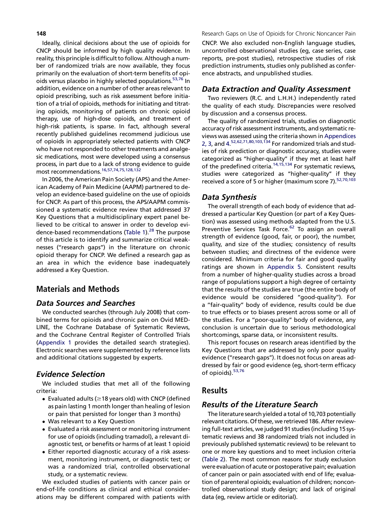Ideally, clinical decisions about the use of opioids for CNCP should be informed by high quality evidence. In reality, this principle is difficult to follow. Although a number of randomized trials are now available, they focus primarily on the evaluation of short-term benefits of opioids versus placebo in highly selected populations.<sup>53,76</sup> In addition, evidence on a number of other areas relevant to opioid prescribing, such as risk assessment before initiation of a trial of opioids, methods for initiating and titrating opioids, monitoring of patients on chronic opioid therapy, use of high-dose opioids, and treatment of high-risk patients, is sparse. In fact, although several recently published guidelines recommend judicious use of opioids in appropriately selected patients with CNCP who have not responded to other treatments and analgesic medications, most were developed using a consensus process, in part due to a lack of strong evidence to guide most recommendations.[16,57,74,75,128,132](#page-8-0)

In 2006, the American Pain Society (APS) and the American Academy of Pain Medicine (AAPM) partnered to develop an evidence-based guideline on the use of opioids for CNCP. As part of this process, the APS/AAPM commissioned a systematic evidence review that addressed 37 Key Questions that a multidisciplinary expert panel believed to be critical to answer in order to develop evi-dence-based recommendations ([Table 1](#page-2-0)).<sup>[28](#page-9-0)</sup> The purpose of this article is to identify and summarize critical weaknesses (''research gaps'') in the literature on chronic opioid therapy for CNCP. We defined a research gap as an area in which the evidence base inadequately addressed a Key Question.

# Materials and Methods

#### Data Sources and Searches

We conducted searches (through July 2008) that combined terms for opioids and chronic pain on Ovid MED-LINE, the Cochrane Database of Systematic Reviews, and the Cochrane Central Register of Controlled Trials ([Appendix 1](#page-13-0) provides the detailed search strategies). Electronic searches were supplemented by reference lists and additional citations suggested by experts.

## Evidence Selection

We included studies that met all of the following criteria:

- $\bullet\,$  Evaluated adults ( $\geq$  18 years old) with CNCP (defined as pain lasting 1 month longer than healing of lesion or pain that persisted for longer than 3 months)
- Was relevant to a Key Question
- Evaluated a risk assessment or monitoring instrument for use of opioids (including tramadol), a relevant diagnostic test, or benefits or harms of at least 1 opioid
- Either reported diagnostic accuracy of a risk assessment, monitoring instrument, or diagnostic test; or was a randomized trial, controlled observational study, or a systematic review.

We excluded studies of patients with cancer pain or end-of-life conditions as clinical and ethical considerations may be different compared with patients with

**148 148 Research Gaps on Use of Opioids for Chronic Noncancer Pain** 

CNCP. We also excluded non-English language studies, uncontrolled observational studies (eg, case series, case reports, pre-post studies), retrospective studies of risk prediction instruments, studies only published as conference abstracts, and unpublished studies.

#### Data Extraction and Quality Assessment

Two reviewers (R.C. and L.H.H.) independently rated the quality of each study. Discrepancies were resolved by discussion and a consensus process.

The quality of randomized trials, studies on diagnostic accuracy of risk assessment instruments, and systematic reviews was assessed using the criteria shown in Appendices 2, 3, and 4.<sup>[52,62,71,80,103,134](#page-9-0)</sup> For randomized trials and studies of risk prediction or diagnostic accuracy, studies were categorized as ''higher-quality'' if they met at least half of the predefined criteria.<sup>14,15,134</sup> For systematic reviews, studies were categorized as ''higher-quality'' if they received a score of 5 or higher (maximum score 7). 52,70,103

#### Data Synthesis

The overall strength of each body of evidence that addressed a particular Key Question (or part of a Key Question) was assessed using methods adapted from the U.S. Preventive Services Task Force.<sup>[62](#page-10-0)</sup> To assign an overall strength of evidence (good, fair, or poor), the number, quality, and size of the studies; consistency of results between studies; and directness of the evidence were considered. Minimum criteria for fair and good quality ratings are shown in Appendix 5. Consistent results from a number of higher-quality studies across a broad range of populations support a high degree of certainty that the results of the studies are true (the entire body of evidence would be considered ''good-quality''). For a ''fair-quality'' body of evidence, results could be due to true effects or to biases present across some or all of the studies. For a ''poor-quality'' body of evidence, any conclusion is uncertain due to serious methodological shortcomings, sparse data, or inconsistent results.

This report focuses on research areas identified by the Key Questions that are addressed by only poor quality evidence (''research gaps''). It does not focus on areas addressed by fair or good evidence (eg, short-term efficacy of opioids).[53,76](#page-9-0)

#### Results

#### Results of the Literature Search

The literature search yielded a total of 10,703 potentially relevant citations. Of these, we retrieved 186. After reviewing full-text articles, we judged 91 studies (including 15 systematic reviews and 38 randomized trials not included in previously published systematic reviews) to be relevant to one or more key questions and to meet inclusion criteria ([Table 2\)](#page-4-0). The most common reasons for study exclusion were evaluation of acute or postoperative pain; evaluation of cancer pain or pain associated with end of life; evaluation of parenteral opioids; evaluation of children; noncontrolled observational study design; and lack of original data (eg, review article or editorial).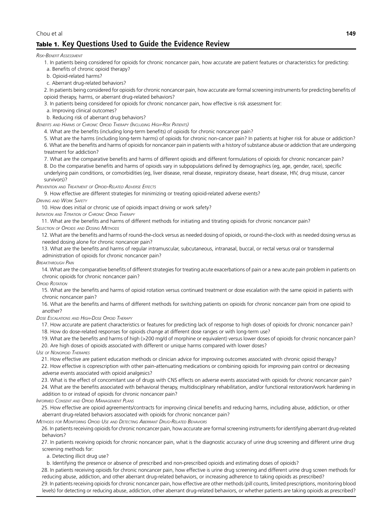## <span id="page-2-0"></span>Table 1. Key Questions Used to Guide the Evidence Review Chou et al **149**

RISK-BENEFIT ASSESSMENT

1. In patients being considered for opioids for chronic noncancer pain, how accurate are patient features or characteristics for predicting:

a. Benefits of chronic opioid therapy?

b. Opioid-related harms?

c. Aberrant drug-related behaviors?

2. In patients being considered for opioids for chronic noncancer pain, how accurate are formal screening instruments for predicting benefits of opioid therapy, harms, or aberrant drug-related behaviors?

3. In patients being considered for opioids for chronic noncancer pain, how effective is risk assessment for:

a. Improving clinical outcomes?

b. Reducing risk of aberrant drug behaviors?

BENEFITS AND HARMS OF CHRONIC OPIOID THERAPY (INCLUDING HIGH-RISK PATIENTS)

4. What are the benefits (including long-term benefits) of opioids for chronic noncancer pain?

5. What are the harms (including long-term harms) of opioids for chronic non-cancer pain? In patients at higher risk for abuse or addiction? 6. What are the benefits and harms of opioids for noncancer pain in patients with a history of substance abuse or addiction that are undergoing treatment for addiction?

7. What are the comparative benefits and harms of different opioids and different formulations of opioids for chronic noncancer pain?

8. Do the comparative benefits and harms of opioids vary in subpopulations defined by demographics (eg, age, gender, race), specific underlying pain conditions, or comorbidities (eg, liver disease, renal disease, respiratory disease, heart disease, HIV, drug misuse, cancer survivors)?

PREVENTION AND TREATMENT OF OPIOID-RELATED ADVERSE EFFECTS

9. How effective are different strategies for minimizing or treating opioid-related adverse events?

DRIVING AND WORK SAFETY

10. How does initial or chronic use of opioids impact driving or work safety?

INITIATION AND TITRATION OF CHRONIC OPIOID THERAPY

11. What are the benefits and harms of different methods for initiating and titrating opioids for chronic noncancer pain?

**SELECTION OF OPIOIDS AND DOSING METHODS** 

12. What are the benefits and harms of round-the-clock versus as needed dosing of opioids, or round-the-clock with as needed dosing versus as needed dosing alone for chronic noncancer pain?

13. What are the benefits and harms of regular intramuscular, subcutaneous, intranasal, buccal, or rectal versus oral or transdermal administration of opioids for chronic noncancer pain?

**BREAKTHROUGH PAIN** 

14. What are the comparative benefits of different strategies for treating acute exacerbations of pain or a new acute pain problem in patients on chronic opioids for chronic noncancer pain?

**OPIOID ROTATION** 

15. What are the benefits and harms of opioid rotation versus continued treatment or dose escalation with the same opioid in patients with chronic noncancer pain?

16. What are the benefits and harms of different methods for switching patients on opioids for chronic noncancer pain from one opioid to another?

DOSE ESCALATIONS AND HIGH-DOSE OPIOID THERAPY

17. How accurate are patient characteristics or features for predicting lack of response to high doses of opioids for chronic noncancer pain? 18. How do dose-related responses for opioids change at different dose ranges or with long-term use?

19. What are the benefits and harms of high (>200 mg/d of morphine or equivalent) versus lower doses of opioids for chronic noncancer pain? 20. Are high doses of opioids associated with different or unique harms compared with lower doses?

USE OF NONOPIOID THERAPIES

21. How effective are patient education methods or clinician advice for improving outcomes associated with chronic opioid therapy?

22. How effective is coprescription with other pain-attenuating medications or combining opioids for improving pain control or decreasing adverse events associated with opioid analgesics?

23. What is the effect of concomitant use of drugs with CNS effects on adverse events associated with opioids for chronic noncancer pain?

24. What are the benefits associated with behavioral therapy, multidisciplinary rehabilitation, and/or functional restoration/work hardening in addition to or instead of opioids for chronic noncancer pain?

INFORMED CONSENT AND OPIOID MANAGEMENT PLANS

25. How effective are opioid agreements/contracts for improving clinical benefits and reducing harms, including abuse, addiction, or other aberrant drug-related behaviors associated with opioids for chronic noncancer pain?

METHODS FOR MONITORING OPIOID USE AND DETECTING ABERRANT DRUG-RELATED BEHAVIORS

26. In patients receiving opioids for chronic noncancer pain, how accurate are formal screening instruments for identifying aberrant drug-related behaviors?

27. In patients receiving opioids for chronic noncancer pain, what is the diagnostic accuracy of urine drug screening and different urine drug screening methods for:

a. Detecting illicit drug use?

b. Identifying the presence or absence of prescribed and non-prescribed opioids and estimating doses of opioids?

28. In patients receiving opioids for chronic noncancer pain, how effective is urine drug screening and different urine drug screen methods for reducing abuse, addiction, and other aberrant drug-related behaviors, or increasing adherence to taking opioids as prescribed?

29. In patients receiving opioids for chronic noncancer pain, how effective are other methods (pill counts, limited prescriptions, monitoring blood levels) for detecting or reducing abuse, addiction, other aberrant drug-related behaviors, or whether patients are taking opioids as prescribed?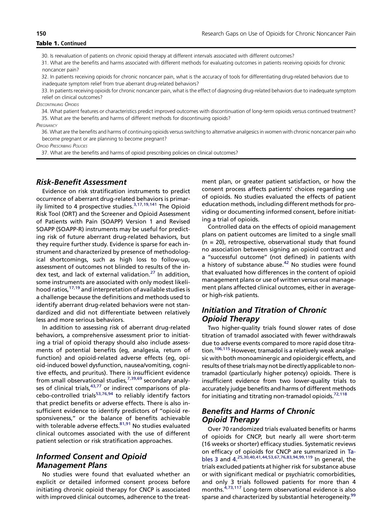30. Is reevaluation of patients on chronic opioid therapy at different intervals associated with different outcomes?

31. What are the benefits and harms associated with different methods for evaluating outcomes in patients receiving opioids for chronic noncancer pain?

32. In patients receiving opioids for chronic noncancer pain, what is the accuracy of tools for differentiating drug-related behaviors due to inadequate symptom relief from true aberrant drug-related behaviors?

33. In patients receiving opioids for chronic noncancer pain, what is the effect of diagnosing drug-related behaviors due to inadequate symptom relief on clinical outcomes?

**DISCONTINUING OPIOIDS** 

34. What patient features or characteristics predict improved outcomes with discontinuation of long-term opioids versus continued treatment? 35. What are the benefits and harms of different methods for discontinuing opioids?

**PREGNANCY** 

36. What are the benefits and harms of continuing opioids versus switching to alternative analgesics in women with chronic noncancer pain who become pregnant or are planning to become pregnant?

**OPIOID PRESCRIBING POLICIES** 

37. What are the benefits and harms of opioid prescribing policies on clinical outcomes?

#### Risk-Benefit Assessment

Evidence on risk stratification instruments to predict occurrence of aberrant drug-related behaviors is primarily limited to 4 prospective studies. $3,17,19,141$  The Opioid Risk Tool (ORT) and the Screener and Opioid Assessment of Patients with Pain (SOAPP) Version 1 and Revised SOAPP (SOAPP-R) instruments may be useful for predicting risk of future aberrant drug-related behaviors, but they require further study. Evidence is sparse for each instrument and characterized by presence of methodological shortcomings, such as high loss to follow-up, assessment of outcomes not blinded to results of the in-dex test, and lack of external validation.<sup>[27](#page-8-0)</sup> In addition, some instruments are associated with only modest likeli-hood ratios, <sup>[17,19](#page-8-0)</sup> and interpretation of available studies is a challenge because the definitions and methods used to identify aberrant drug-related behaviors were not standardized and did not differentiate between relatively less and more serious behaviors.

In addition to assessing risk of aberrant drug-related behaviors, a comprehensive assessment prior to initiating a trial of opioid therapy should also include assessments of potential benefits (eg, analgesia, return of function) and opioid-related adverse effects (eg, opioid-induced bowel dysfunction, nausea/vomiting, cognitive effects, and pruritus). There is insufficient evidence from small observational studies,<sup>[7,39,69](#page-8-0)</sup> secondary analyses of clinical trials,  $43,77$  or indirect comparisons of pla $cebo$ -controlled trials<sup>[53,76,94](#page-9-0)</sup> to reliably identify factors that predict benefits or adverse effects. There is also insufficient evidence to identify predictors of ''opioid responsiveness,'' or the balance of benefits achievable with tolerable adverse effects.<sup>81,91</sup> No studies evaluated clinical outcomes associated with the use of different patient selection or risk stratification approaches.

## Informed Consent and Opioid Management Plans

No studies were found that evaluated whether an explicit or detailed informed consent process before initiating chronic opioid therapy for CNCP is associated with improved clinical outcomes, adherence to the treatment plan, or greater patient satisfaction, or how the consent process affects patients' choices regarding use of opioids. No studies evaluated the effects of patient education methods, including different methods for providing or documenting informed consent, before initiating a trial of opioids.

Controlled data on the effects of opioid management plans on patient outcomes are limited to a single small  $(n = 20)$ , retrospective, observational study that found no association between signing an opioid contract and a ''successful outcome'' (not defined) in patients with a history of substance abuse. $42$  No studies were found that evaluated how differences in the content of opioid management plans or use of written versus oral management plans affected clinical outcomes, either in averageor high-risk patients.

#### Initiation and Titration of Chronic Opioid Therapy

Two higher-quality trials found slower rates of dose titration of tramadol associated with fewer withdrawals due to adverse events compared to more rapid dose titration.<sup>106,115</sup> However, tramadol is a relatively weak analgesic with both monoaminergic and opioidergic effects, and results of these trials may not be directly applicable to nontramadol (particularly higher potency) opioids. There is insufficient evidence from two lower-quality trials to accurately judge benefits and harms of different methods for initiating and titrating non-tramadol opioids. $72,118$ 

### Benefits and Harms of Chronic Opioid Therapy

Over 70 randomized trials evaluated benefits or harms of opioids for CNCP, but nearly all were short-term (16 weeks or shorter) efficacy studies. Systematic reviews on efficacy of opioids for CNCP are summarized in Tables 3 and [4](#page-0-0). [25,30,40,41,44,53,67,76,83,94,99,119](#page-8-0) In general, the trials excluded patients at higher risk for substance abuse or with significant medical or psychiatric comorbidities, and only 3 trials followed patients for more than 4 months.<sup>[4,73,117](#page-8-0)</sup> Long-term observational evidence is also sparse and characterized by substantial heterogeneity.<sup>[99](#page-11-0)</sup>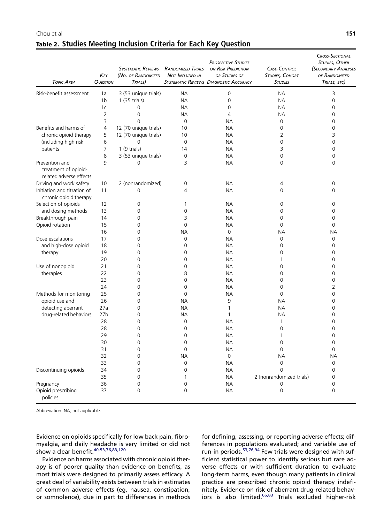<span id="page-4-0"></span>

#### Table 2. Studies Meeting Inclusion Criteria for Each Key Question

| <b>TOPIC AREA</b>                                     | KEY<br>QUESTION | <b>SYSTEMATIC REVIEWS</b><br>(No. of RANDOMIZED<br>TRIALS) | <b>RANDOMIZED TRIALS</b><br><b>NOT INCLUDED IN</b> | <b>PROSPECTIVE STUDIES</b><br>ON RISK PREDICTION<br>OR STUDIES OF<br><b>SYSTEMATIC REVIEWS DIAGNOSTIC ACCURACY</b> | <b>CASE-CONTROL</b><br>STUDIES, COHORT<br><b>STUDIES</b> | <b>CROSS-SECTIONAL</b><br><b>STUDIES, OTHER</b><br>(SECONDARY ANALYSES<br>OF RANDOMIZED<br>TRIALS, ETC) |
|-------------------------------------------------------|-----------------|------------------------------------------------------------|----------------------------------------------------|--------------------------------------------------------------------------------------------------------------------|----------------------------------------------------------|---------------------------------------------------------------------------------------------------------|
| Risk-benefit assessment                               | 1a              | 3 (53 unique trials)                                       | <b>NA</b>                                          | 0                                                                                                                  | <b>NA</b>                                                | 3                                                                                                       |
|                                                       | 1 <sub>b</sub>  | 1 (35 trials)                                              | <b>NA</b>                                          | $\mathbf 0$                                                                                                        | <b>NA</b>                                                | 0                                                                                                       |
|                                                       | 1 <sub>c</sub>  | 0                                                          | <b>NA</b>                                          | 0                                                                                                                  | <b>NA</b>                                                | 0                                                                                                       |
|                                                       | $\overline{2}$  | 0                                                          | <b>NA</b>                                          | 4                                                                                                                  | <b>NA</b>                                                | 0                                                                                                       |
|                                                       | 3               | $\Omega$                                                   | $\mathbf 0$                                        | ΝA                                                                                                                 | $\mathbf 0$                                              | 0                                                                                                       |
| Benefits and harms of                                 | 4               | 12 (70 unique trials)                                      | 10                                                 | <b>NA</b>                                                                                                          | 0                                                        | 0                                                                                                       |
| chronic opioid therapy                                | 5               | 12 (70 unique trials)                                      | 10                                                 | <b>NA</b>                                                                                                          | 2                                                        | 3                                                                                                       |
| (including high risk                                  | 6               | 0                                                          | 0                                                  | <b>NA</b>                                                                                                          | 0                                                        | 0                                                                                                       |
| patients                                              | 7               | $1(9 \text{ trials})$                                      | 14                                                 | <b>NA</b>                                                                                                          | 3                                                        | 0                                                                                                       |
|                                                       | 8               | 3 (53 unique trials)                                       | $\mathbf 0$                                        | <b>NA</b>                                                                                                          | 0                                                        | 0                                                                                                       |
| Prevention and                                        | 9               | 0                                                          | 3                                                  | <b>NA</b>                                                                                                          | 0                                                        | 0                                                                                                       |
| treatment of opioid-<br>related adverse effects       |                 |                                                            |                                                    |                                                                                                                    |                                                          |                                                                                                         |
| Driving and work safety                               | 10              | 2 (nonrandomized)                                          | 0                                                  | <b>NA</b>                                                                                                          | 4                                                        | 0                                                                                                       |
| Initiation and titration of<br>chronic opioid therapy | 11              | 0                                                          | 4                                                  | NА                                                                                                                 | 0                                                        | 0                                                                                                       |
| Selection of opioids                                  | 12              | 0                                                          | 1                                                  | <b>NA</b>                                                                                                          | 0                                                        | 0                                                                                                       |
| and dosing methods                                    | 13              | 0                                                          | 0                                                  | <b>NA</b>                                                                                                          | 0                                                        | 0                                                                                                       |
| Breakthrough pain                                     | 14              | 0                                                          | 3                                                  | NА                                                                                                                 | 0                                                        | 0                                                                                                       |
| Opioid rotation                                       | 15              | 0                                                          | 0                                                  | <b>NA</b>                                                                                                          | $\Omega$                                                 | $\overline{0}$                                                                                          |
|                                                       | 16              | 0                                                          | <b>NA</b>                                          | 0                                                                                                                  | <b>NA</b>                                                | <b>NA</b>                                                                                               |
| Dose escalations                                      | 17              | 0                                                          | 0                                                  | ΝA                                                                                                                 | 0                                                        | 0                                                                                                       |
| and high-dose opioid                                  | 18              | 0                                                          | 0                                                  | NА                                                                                                                 | 0                                                        | 0                                                                                                       |
| therapy                                               | 19              | 0                                                          | 0                                                  | <b>NA</b>                                                                                                          | 0                                                        | 0                                                                                                       |
|                                                       | 20              | 0                                                          | 0                                                  | <b>NA</b>                                                                                                          | 1                                                        | $\overline{0}$                                                                                          |
| Use of nonopioid                                      | 21              | 0                                                          | 0                                                  | <b>NA</b>                                                                                                          | 0                                                        | 0                                                                                                       |
| therapies                                             | 22              | 0                                                          | 8                                                  | <b>NA</b>                                                                                                          | 0                                                        | 0                                                                                                       |
|                                                       | 23              | 0                                                          | 0                                                  | <b>NA</b>                                                                                                          | 0                                                        | 0                                                                                                       |
|                                                       | 24              | 0                                                          | 0                                                  | <b>NA</b>                                                                                                          | 0                                                        | 2                                                                                                       |
| Methods for monitoring                                | 25              | 0                                                          | 0                                                  | <b>NA</b>                                                                                                          | 0                                                        | $\overline{0}$                                                                                          |
| opioid use and                                        | 26              | 0                                                          | <b>NA</b>                                          | 9                                                                                                                  | <b>NA</b>                                                | 0                                                                                                       |
| detecting aberrant                                    | 27a             | 0                                                          | <b>NA</b>                                          | $\mathbf{1}$                                                                                                       | <b>NA</b>                                                | 0                                                                                                       |
| drug-related behaviors                                | 27 <sub>b</sub> | 0                                                          | <b>NA</b>                                          | $\mathbf{1}$                                                                                                       | <b>NA</b>                                                | 0                                                                                                       |
|                                                       | 28              | 0                                                          | 0                                                  | <b>NA</b>                                                                                                          | 1                                                        | 0                                                                                                       |
|                                                       | 28              | 0                                                          | 0                                                  | <b>NA</b>                                                                                                          | 0                                                        | 0                                                                                                       |
|                                                       | 29              | 0                                                          | 0                                                  | <b>NA</b>                                                                                                          | 1                                                        | 0                                                                                                       |
|                                                       | 30              | 0                                                          | 0                                                  | <b>NA</b>                                                                                                          | 0                                                        | $\mathbf 0$                                                                                             |
|                                                       | 31              | 0                                                          | 0                                                  | <b>NA</b>                                                                                                          | 0                                                        | 0                                                                                                       |
|                                                       | 32              | 0                                                          | <b>NA</b>                                          | 0                                                                                                                  | <b>NA</b>                                                | <b>NA</b>                                                                                               |
|                                                       | 33              | 0                                                          | 0                                                  | <b>NA</b>                                                                                                          | 0                                                        | 0                                                                                                       |
| Discontinuing opioids                                 | 34              | 0                                                          | 0                                                  | <b>NA</b>                                                                                                          | 0                                                        | 0                                                                                                       |
|                                                       | 35              | 0                                                          |                                                    | <b>NA</b>                                                                                                          | 2 (nonrandomized trials)                                 | 0                                                                                                       |
| Pregnancy                                             | 36              | 0                                                          | $\mathbf 0$                                        | <b>NA</b>                                                                                                          | 0                                                        | 0                                                                                                       |
| Opioid prescribing<br>policies                        | 37              | 0                                                          | $\mathbf 0$                                        | <b>NA</b>                                                                                                          | 0                                                        | 0                                                                                                       |

Abbreviation: NA, not applicable.

Evidence on opioids specifically for low back pain, fibromyalgia, and daily headache is very limited or did not show a clear benefit.<sup>40,53,76,83,120</sup>

Evidence on harms associated with chronic opioid therapy is of poorer quality than evidence on benefits, as most trials were designed to primarily assess efficacy. A great deal of variability exists between trials in estimates of common adverse effects (eg, nausea, constipation, or somnolence), due in part to differences in methods for defining, assessing, or reporting adverse effects; differences in populations evaluated; and variable use of run-in periods.<sup>[53,76,94](#page-9-0)</sup> Few trials were designed with sufficient statistical power to identify serious but rare adverse effects or with sufficient duration to evaluate long-term harms, even though many patients in clinical practice are prescribed chronic opioid therapy indefinitely. Evidence on risk of aberrant drug-related behav-iors is also limited.<sup>[66,83](#page-10-0)</sup> Trials excluded higher-risk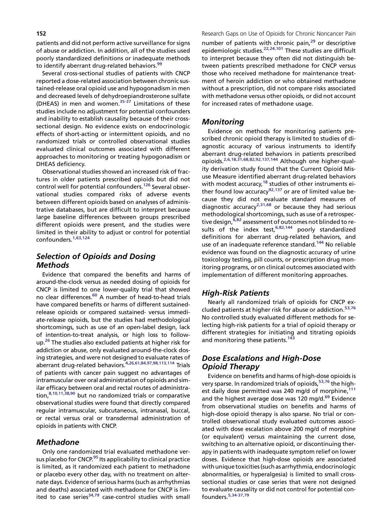patients and did not perform active surveillance for signs of abuse or addiction. In addition, all of the studies used poorly standardized definitions or inadequate methods to identify aberrant drug-related behaviors.<sup>[99](#page-11-0)</sup>

Several cross-sectional studies of patients with CNCP reported a dose-related association between chronic sustained-release oral opioid use and hypogonadism in men and decreased levels of dehydroepiandrosterone sulfate (DHEAS) in men and women. $35-37$  Limitations of these studies include no adjustment for potential confounders and inability to establish causality because of their crosssectional design. No evidence exists on endocrinologic effects of short-acting or intermittent opioids, and no randomized trials or controlled observational studies evaluated clinical outcomes associated with different approaches to monitoring or treating hypogonadism or DHEAS deficiency.

Observational studies showed an increased risk of fractures in older patients prescribed opioids but did not control well for potential confounders.<sup>[126](#page-12-0)</sup> Several observational studies compared risks of adverse events between different opioids based on analyses of administrative databases, but are difficult to interpret because large baseline differences between groups prescribed different opioids were present, and the studies were limited in their ability to adjust or control for potential confounders.[1,63,124](#page-8-0)

## Selection of Opioids and Dosing Methods

Evidence that compared the benefits and harms of around-the-clock versus as needed dosing of opioids for CNCP is limited to one lower-quality trial that showed no clear differences.<sup>60</sup> A number of head-to-head trials have compared benefits or harms of different sustainedrelease opioids or compared sustained- versus immediate-release opioids, but the studies had methodological shortcomings, such as use of an open-label design, lack of intention-to-treat analysis, or high loss to followup.<sup>26</sup> The studies also excluded patients at higher risk for addiction or abuse, only evaluated around-the-clock dosing strategies, and were not designed to evaluate rates of aberrant drug-related behaviors[.4,26,61,84,97,98,113,114](#page-8-0) Trials of patients with cancer pain suggest no advantages of intramuscular over oral administration of opioids and similar efficacy between oral and rectal routes of administration, $8,10,11,38,90$  but no randomized trials or comparative observational studies were found that directly compared regular intramuscular, subcutaneous, intranasal, buccal, or rectal versus oral or transdermal administration of opioids in patients with CNCP.

#### Methadone

Only one randomized trial evaluated methadone ver-sus placebo for CNCP.<sup>[95](#page-11-0)</sup> Its applicability to clinical practice is limited, as it randomized each patient to methadone or placebo every other day, with no treatment on alternate days. Evidence of serious harms (such as arrhythmias and deaths) associated with methadone for CNCP is lim-ited to case series<sup>[34,79](#page-9-0)</sup> case-control studies with small

number of patients with chronic pain,<sup>[29](#page-9-0)</sup> or descriptive epidemiologic studies.[22,24,101](#page-8-0) These studies are difficult to interpret because they often did not distinguish between patients prescribed methadone for CNCP versus those who received methadone for maintenance treatment of heroin addiction or who obtained methadone without a prescription, did not compare risks associated with methadone versus other opioids, or did not account for increased rates of methadone usage. **152 152 Research Gaps on Use of Opioids for Chronic Noncancer Pain** 

#### Monitoring

Evidence on methods for monitoring patients prescribed chronic opioid therapy is limited to studies of diagnostic accuracy of various instruments to identify aberrant drug-related behaviors in patients prescribed opioids.[2,6,18,31,68,82,92,137,144](#page-8-0) Although one higher-quality derivation study found that the Current Opioid Misuse Measure identified aberrant drug-related behaviors with modest accuracy, <sup>18</sup> studies of other instruments ei-ther found low accuracy<sup>[92,137](#page-11-0)</sup> or are of limited value because they did not evaluate standard measures of diagnostic accuracy<sup>[2,31,68](#page-8-0)</sup> or because they had serious methodological shortcomings, such as use of a retrospec-tive design, <sup>[6,82](#page-8-0)</sup> assessment of outcomes not blinded to results of the index test,  $6,82,144$  poorly standardized definitions for aberrant drug-related behaviors, and use of an inadequate reference standard.<sup>[144](#page-12-0)</sup> No reliable evidence was found on the diagnostic accuracy of urine toxicology testing, pill counts, or prescription drug monitoring programs, or on clinical outcomes associated with implementation of different monitoring approaches.

#### High-Risk Patients

Nearly all randomized trials of opioids for CNCP ex-cluded patients at higher risk for abuse or addiction.<sup>[53,76](#page-9-0)</sup> No controlled study evaluated different methods for selecting high-risk patients for a trial of opioid therapy or different strategies for initiating and titrating opioids and monitoring these patients.<sup>[143](#page-12-0)</sup>

## Dose Escalations and High-Dose Opioid Therapy

Evidence on benefits and harms of high-dose opioids is very sparse. In randomized trials of opioids, <sup>[53,76](#page-9-0)</sup> the highest daily dose permitted was 240 mg/d of morphine,<sup>111</sup> and the highest average dose was 120 mg/d.<sup>69</sup> Evidence from observational studies on benefits and harms of high-dose opioid therapy is also sparse. No trial or controlled observational study evaluated outcomes associated with dose escalation above 200 mg/d of morphine (or equivalent) versus maintaining the current dose, switching to an alternative opioid, or discontinuing therapy in patients with inadequate symptom relief on lower doses. Evidence that high-dose opioids are associated with unique toxicities (such as arrhythmia, endocrinologic abnormalities, or hyperalgesia) is limited to small crosssectional studies or case series that were not designed to evaluate causality or did not control for potential confounders.[5,34-37,79](#page-8-0)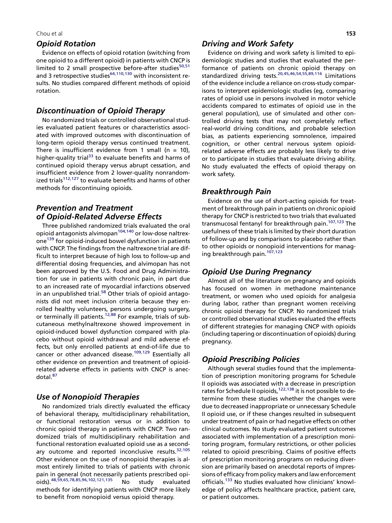#### Chou et al. **153**

#### Opioid Rotation

Evidence on effects of opioid rotation (switching from one opioid to a different opioid) in patients with CNCP is limited to 2 small prospective before-after studies $50,51$ and 3 retrospective studies $64,110,130$  with inconsistent results. No studies compared different methods of opioid rotation.

### Discontinuation of Opioid Therapy

No randomized trials or controlled observational studies evaluated patient features or characteristics associated with improved outcomes with discontinuation of long-term opioid therapy versus continued treatment. There is insufficient evidence from 1 small ( $n = 10$ ), higher-quality trial<sup>[33](#page-9-0)</sup> to evaluate benefits and harms of continued opioid therapy versus abrupt cessation, and insufficient evidence from 2 lower-quality nonrandom-ized trials<sup>[112,127](#page-11-0)</sup> to evaluate benefits and harms of other methods for discontinuing opioids.

#### Prevention and Treatment of Opioid-Related Adverse Effects

Three published randomized trials evaluated the oral opioid antagonists alvimopan[104,140](#page-11-0) or low-dose naltrex-one<sup>[139](#page-12-0)</sup> for opioid-induced bowel dysfunction in patients with CNCP. The findings from the naltrexone trial are difficult to interpret because of high loss to follow-up and differential dosing frequencies, and alvimopan has not been approved by the U.S. Food and Drug Administration for use in patients with chronic pain, in part due to an increased rate of myocardial infarctions observed in an unpublished trial.<sup>[58](#page-9-0)</sup> Other trials of opioid antagonists did not meet inclusion criteria because they enrolled healthy volunteers, persons undergoing surgery, or terminally ill patients.<sup>[12,88](#page-8-0)</sup> For example, trials of subcutaneous methylnaltrexone showed improvement in opioid-induced bowel dysfunction compared with placebo without opioid withdrawal and mild adverse effects, but only enrolled patients at end-of-life due to cancer or other advanced disease.<sup>[109,129](#page-11-0)</sup> Essentially all other evidence on prevention and treatment of opioidrelated adverse effects in patients with CNCP is anecdotal[.87](#page-10-0)

## Use of Nonopioid Therapies

No randomized trials directly evaluated the efficacy of behavioral therapy, multidisciplinary rehabilitation, or functional restoration versus or in addition to chronic opioid therapy in patients with CNCP. Two randomized trials of multidisciplinary rehabilitation and functional restoration evaluated opioid use as a second-ary outcome and reported inconclusive results.<sup>[32,105](#page-9-0)</sup> Other evidence on the use of nonopioid therapies is almost entirely limited to trials of patients with chronic pain in general (not necessarily patients prescribed opioids).[48,59,65,78,85,96,102,121,135](#page-9-0) No study evaluated methods for identifying patients with CNCP more likely to benefit from nonopioid versus opioid therapy.

#### Driving and Work Safety

Evidence on driving and work safety is limited to epidemiologic studies and studies that evaluated the performance of patients on chronic opioid therapy on standardized driving tests.[20,45,46,54,55,89,116](#page-8-0) Limitations of the evidence include a reliance on cross-study comparisons to interpret epidemiologic studies (eg, comparing rates of opioid use in persons involved in motor vehicle accidents compared to estimates of opioid use in the general population), use of simulated and other controlled driving tests that may not completely reflect real-world driving conditions, and probable selection bias, as patients experiencing somnolence, impaired cognition, or other central nervous system opioidrelated adverse effects are probably less likely to drive or to participate in studies that evaluate driving ability. No study evaluated the effects of opioid therapy on work safety.

#### Breakthrough Pain

Evidence on the use of short-acting opioids for treatment of breakthrough pain in patients on chronic opioid therapy for CNCP is restricted to two trials that evaluated transmucosal fentanyl for breakthrough pain.<sup>[107,123](#page-11-0)</sup> The usefulness of these trials is limited by their short duration of follow-up and by comparisons to placebo rather than to other opioids or nonopioid interventions for manag-ing breakthrough pain.<sup>[107,123](#page-11-0)</sup>

#### Opioid Use During Pregnancy

Almost all of the literature on pregnancy and opioids has focused on women in methadone maintenance treatment, or women who used opioids for analgesia during labor, rather than pregnant women receiving chronic opioid therapy for CNCP. No randomized trials or controlled observational studies evaluated the effects of different strategies for managing CNCP with opioids (including tapering or discontinuation of opioids) during pregnancy.

#### Opioid Prescribing Policies

Although several studies found that the implementation of prescription monitoring programs for Schedule II opioids was associated with a decrease in prescription rates for Schedule II opioids, <sup>122, 138</sup> it is not possible to determine from these studies whether the changes were due to decreased inappropriate or unnecessary Schedule II opioid use, or if these changes resulted in subsequent under treatment of pain or had negative effects on other clinical outcomes. No study evaluated patient outcomes associated with implementation of a prescription monitoring program, formulary restrictions, or other policies related to opioid prescribing. Claims of positive effects of prescription monitoring programs on reducing diversion are primarily based on anecdotal reports of impressions of efficacy from policy makers and law enforcement officials.<sup>[133](#page-12-0)</sup> No studies evaluated how clinicians' knowledge of policy affects healthcare practice, patient care, or patient outcomes.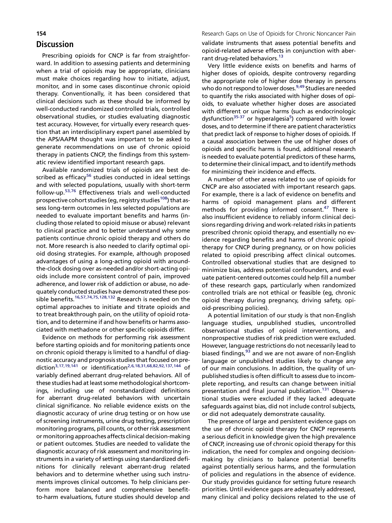## **Discussion**

Prescribing opioids for CNCP is far from straightforward. In addition to assessing patients and determining when a trial of opioids may be appropriate, clinicians must make choices regarding how to initiate, adjust, monitor, and in some cases discontinue chronic opioid therapy. Conventionally, it has been considered that clinical decisions such as these should be informed by well-conducted randomized controlled trials, controlled observational studies, or studies evaluating diagnostic test accuracy. However, for virtually every research question that an interdisciplinary expert panel assembled by the APS/AAPM thought was important to be asked to generate recommendations on use of chronic opioid therapy in patients CNCP, the findings from this systematic review identified important research gaps.

Available randomized trials of opioids are best de-scribed as efficacy<sup>[56](#page-9-0)</sup> studies conducted in ideal settings and with selected populations, usually with short-term follow-up[.53,76](#page-9-0) Effectiveness trials and well-conducted prospective cohort studies (eg, registry studies<sup>[108](#page-11-0)</sup>) that assess long-term outcomes in less selected populations are needed to evaluate important benefits and harms (including those related to opioid misuse or abuse) relevant to clinical practice and to better understand why some patients continue chronic opioid therapy and others do not. More research is also needed to clarify optimal opioid dosing strategies. For example, although proposed advantages of using a long-acting opioid with aroundthe-clock dosing over as-needed and/or short-acting opioids include more consistent control of pain, improved adherence, and lower risk of addiction or abuse, no adequately conducted studies have demonstrated these possible benefits[.16,57,74,75,128,132](#page-8-0) Research is needed on the optimal approaches to initiate and titrate opioids and to treat breakthrough pain, on the utility of opioid rotation, and to determine if and how benefits or harms associated with methadone or other specific opioids differ.

Evidence on methods for performing risk assessment before starting opioids and for monitoring patients once on chronic opioid therapy is limited to a handful of diagnostic accuracy and prognosis studies that focused on pre-diction<sup>[3,17,19,141](#page-8-0)</sup> or identification<sup>2,6,18,31,68,82,92,137,144</sup> of variably defined aberrant drug-related behaviors. All of these studies had at least some methodological shortcomings, including use of nonstandardized definitions for aberrant drug-related behaviors with uncertain clinical significance. No reliable evidence exists on the diagnostic accuracy of urine drug testing or on how use of screening instruments, urine drug testing, prescription monitoring programs, pill counts, or other risk assessment or monitoring approaches affects clinical decision-making or patient outcomes. Studies are needed to validate the diagnostic accuracy of risk assessment and monitoring instruments in a variety of settings using standardized definitions for clinically relevant aberrant-drug related behaviors and to determine whether using such instruments improves clinical outcomes. To help clinicians perform more balanced and comprehensive benefitto-harm evaluations, future studies should develop and

validate instruments that assess potential benefits and opioid-related adverse effects in conjunction with aberrant drug-related behaviors.<sup>13</sup> **154 154 Research Gaps on Use of Opioids for Chronic Noncancer Pain** 

> Very little evidence exists on benefits and harms of higher doses of opioids, despite controversy regarding the appropriate role of higher dose therapy in persons who do not respond to lower doses.<sup>[9,49](#page-8-0)</sup> Studies are needed to quantify the risks associated with higher doses of opioids, to evaluate whether higher doses are associated with different or unique harms (such as endocrinologic dysfunction<sup>35-37</sup> or hyperalgesia<sup>5</sup>) compared with lower doses, and to determine if there are patient characteristics that predict lack of response to higher doses of opioids. If a causal association between the use of higher doses of opioids and specific harms is found, additional research is needed to evaluate potential predictors of these harms, to determine their clinical impact, and to identify methods for minimizing their incidence and effects.

> A number of other areas related to use of opioids for CNCP are also associated with important research gaps. For example, there is a lack of evidence on benefits and harms of opioid management plans and different methods for providing informed consent.<sup>[47](#page-9-0)</sup> There is also insufficient evidence to reliably inform clinical decisions regarding driving and work-related risks in patients prescribed chronic opioid therapy, and essentially no evidence regarding benefits and harms of chronic opioid therapy for CNCP during pregnancy, or on how policies related to opioid prescribing affect clinical outcomes. Controlled observational studies that are designed to minimize bias, address potential confounders, and evaluate patient-centered outcomes could help fill a number of these research gaps, particularly when randomized controlled trials are not ethical or feasible (eg, chronic opioid therapy during pregnancy, driving safety, opioid-prescribing policies).

> A potential limitation of our study is that non-English language studies, unpublished studies, uncontrolled observational studies of opioid interventions, and nonprospective studies of risk prediction were excluded. However, language restrictions do not necessarily lead to biased findings,  $93$  and we are not aware of non-English language or unpublished studies likely to change any of our main conclusions. In addition, the quality of unpublished studies is often difficult to assess due to incomplete reporting, and results can change between initial presentation and final journal publication.<sup>[131](#page-12-0)</sup> Observational studies were excluded if they lacked adequate safeguards against bias, did not include control subjects, or did not adequately demonstrate causality.

> The presence of large and persistent evidence gaps on the use of chronic opioid therapy for CNCP represents a serious deficit in knowledge given the high prevalence of CNCP, increasing use of chronic opioid therapy for this indication, the need for complex and ongoing decisionmaking by clinicians to balance potential benefits against potentially serious harms, and the formulation of policies and regulations in the absence of evidence. Our study provides guidance for setting future research priorities. Until evidence gaps are adequately addressed, many clinical and policy decisions related to the use of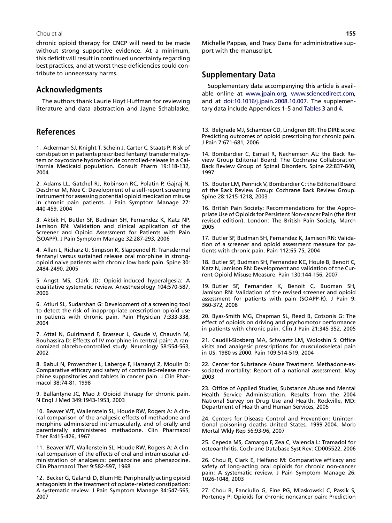#### <span id="page-8-0"></span>Chou et al **155**

chronic opioid therapy for CNCP will need to be made without strong supportive evidence. At a minimum, this deficit will result in continued uncertainty regarding best practices, and at worst these deficiencies could contribute to unnecessary harms.

## Acknowledgments

The authors thank Laurie Hoyt Huffman for reviewing literature and data abstraction and Jayne Schablaske,

### References

1. Ackerman SJ, Knight T, Schein J, Carter C, Staats P: Risk of constipation in patients prescribed fentanyl transdermal system or oxycodone hydrochloride controlled-release in a California Medicaid population. Consult Pharm 19:118-132, 2004

2. Adams LL, Gatchel RJ, Robinson RC, Polatin P, Gajraj N, Deschner M, Noe C: Development of a self-report screening instrument for assessing potential opioid medication misuse in chronic pain patients. J Pain Symptom Manage 27: 440-459, 2004

3. Akbik H, Butler SF, Budman SH, Fernandez K, Katz NP, Jamison RN: Validation and clinical application of the Screener and Opioid Assessment for Patients with Pain (SOAPP). J Pain Symptom Manage 32:287-293, 2006

4. Allan L, Richarz U, Simpson K, Slappendel R: Transdermal fentanyl versus sustained release oral morphine in strongopioid naive patients with chronic low back pain. Spine 30: 2484-2490, 2005

5. Angst MS, Clark JD: Opioid-induced hyperalgesia: A qualitative systematic review. Anesthesiology 104:570-587, 2006

6. Atluri SL, Sudarshan G: Development of a screening tool to detect the risk of inappropriate prescription opioid use in patients with chronic pain. Pain Physician 7:333-338, 2004

7. Attal N, Guirimand F, Brasseur L, Gaude V, Chauvin M, Bouhassira D: Effects of IV morphine in central pain: A randomized placebo-controlled study. Neurology 58:554-563, 2002

8. Babul N, Provencher L, Laberge F, Harsanyi Z, Moulin D: Comparative efficacy and safety of controlled-release morphine suppositories and tablets in cancer pain. J Clin Pharmacol 38:74-81, 1998

9. Ballantyne JC, Mao J: Opioid therapy for chronic pain. N Engl J Med 349:1943-1953, 2003

10. Beaver WT, Wallenstein SL, Houde RW, Rogers A: A clinical comparison of the analgesic effects of methadone and morphine administered intramuscularly, and of orally and parenterally administered methadone. Clin Pharmacol Ther 8:415-426, 1967

11. Beaver WT, Wallenstein SL, Houde RW, Rogers A: A clinical comparison of the effects of oral and intramuscular administration of analgesics: pentazocine and phenazocine. Clin Pharmacol Ther 9:582-597, 1968

12. Becker G, Galandi D, Blum HE: Peripherally acting opioid antagonists in the treatment of opiate-related constipation: A systematic review. J Pain Symptom Manage 34:547-565, 2007

Michelle Pappas, and Tracy Dana for administrative support with the manuscript.

#### Supplementary Data

Supplementary data accompanying this article is available online at [www.jpain.org,](http://www.jpain.org) [www.sciencedirect.com,](http://www.sciencedirect.com) and at [doi:10.1016/j.jpain.2008.10.007.](http://dx.doi.org/doi:10.1016/j.jpain.2008.10.007) The supplementary data include Appendices 1–5 and [Tables 3](#page-19-0) and [4.](#page-27-0)

13. Belgrade MJ, Schamber CD, Lindgren BR: The DIRE score: Predicting outcomes of opioid prescribing for chronic pain. J Pain 7:671-681, 2006

14. Bombardier C, Esmail R, Nachemson AL: the Back Review Group Editorial Board: The Cochrane Collaboration Back Review Group of Spinal Disorders. Spine 22:837-840, 1997

15. Bouter LM, Pennick V, Bombardier C: the Editorial Board of the Back Review Group: Cochrane Back Review Group. Spine 28:1215-1218, 2003

16. British Pain Society: Recommendations for the Appropriate Use of Opioids for Persistent Non-cancer Pain (the first revised edition). London: The British Pain Society, March 2005

17. Butler SF, Budman SH, Fernandez K, Jamison RN: Validation of a screener and opioid assessment measure for patients with chronic pain. Pain 112:65-75, 2004

18. Butler SF, Budman SH, Fernandez KC, Houle B, Benoit C, Katz N, Jamison RN: Development and validation of the Current Opioid Misuse Measure. Pain 130:144-156, 2007

19. Butler SF, Fernandez K, Benoit C, Budman SH, Jamison RN: Validation of the revised screener and opioid assessment for patients with pain (SOAPP-R). J Pain 9: 360-372, 2008

20. Byas-Smith MG, Chapman SL, Reed B, Cotsonis G: The effect of opioids on driving and psychomotor performance in patients with chronic pain. Clin J Pain 21:345-352, 2005

21. Caudill-Slosberg MA, Schwartz LM, Woloshin S: Office visits and analgesic prescriptions for musculoskeletal pain in US: 1980 vs 2000. Pain 109:514-519, 2004

22. Center for Substance Abuse Treatment. Methadone-associated mortality: Report of a national assessment. May 2003

23. Office of Applied Studies, Substance Abuse and Mental Health Service Administration. Results from the 2004 National Survey on Drug Use and Health. Rockville, MD: Department of Health and Human Services, 2005

24. Centers for Disease Control and Prevention: Unintentional poisoning deaths–United States, 1999-2004. Morb Mortal Wkly Rep 56:93-96, 2007

25. Cepeda MS, Camargo F, Zea C, Valencia L: Tramadol for osteoarthritis. Cochrane Database Syst Rev: CD005522, 2006

26. Chou R, Clark E, Helfand M: Comparative efficacy and safety of long-acting oral opioids for chronic non-cancer pain: A systematic review. J Pain Symptom Manage 26: 1026-1048, 2003

27. Chou R, Fanciullo G, Fine PG, Miaskowski C, Passik S, Portenoy P: Opioids for chronic noncancer pain: Prediction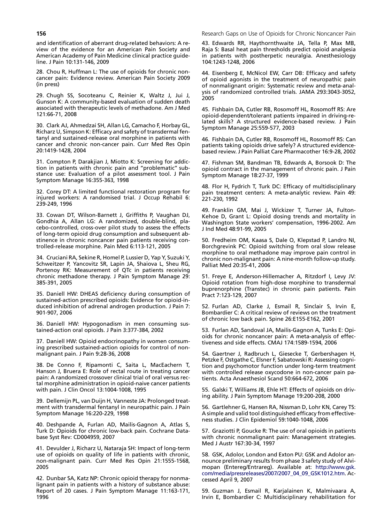and identification of aberrant drug-related behaviors: A review of the evidence for an American Pain Society and American Academy of Pain Medicine clinical practice guideline. J Pain 10:131-146, 2009

28. Chou R, Huffman L: The use of opioids for chronic noncancer pain: Evidence review. American Pain Society 2009 (in press)

29. Chugh SS, Socoteanu C, Reinier K, Waltz J, Jui J, Gunson K: A community-based evaluation of sudden death associated with therapeutic levels of methadone. Am J Med 121:66-71, 2008

30. Clark AJ, Ahmedzai SH, Allan LG, Camacho F, Horbay GL, Richarz U, Simpson K: Efficacy and safety of transdermal fentanyl and sustained-release oral morphine in patients with cancer and chronic non-cancer pain. Curr Med Res Opin 20:1419-1428, 2004

31. Compton P, Darakjian J, Miotto K: Screening for addiction in patients with chronic pain and ''problematic'' substance use: Evaluation of a pilot assessment tool. J Pain Symptom Manage 16:355-363, 1998

32. Corey DT: A limited functional restoration program for injured workers: A randomised trial. J Occup Rehabil 6: 239-249, 1996

33. Cowan DT, Wilson-Barnett J, Griffiths P, Vaughan DJ, Gondhia A, Allan LG: A randomized, double-blind, placebo-controlled, cross-over pilot study to assess the effects of long-term opioid drug consumption and subsequent abstinence in chronic noncancer pain patients receiving controlled-release morphine. Pain Med 6:113-121, 2005

34. Cruciani RA, Sekine R, Homel P, Lussier D, Yap Y, Suzuki Y, Schweitzer P, Yancovitz SR, Lapin JA, Shaiova L, Sheu RG, Portenoy RK: Measurement of QTc in patients receiving chronic methadone therapy. J Pain Symptom Manage 29: 385-391, 2005

35. Daniell HW: DHEAS deficiency during consumption of sustained-action prescribed opioids: Evidence for opioid-induced inhibition of adrenal androgen production. J Pain 7: 901-907, 2006

36. Daniell HW: Hypogonadism in men consuming sustained-action oral opioids. J Pain 3:377-384, 2002

37. Daniell HW: Opioid endocrinopathy in women consuming prescribed sustained-action opioids for control of nonmalignant pain. J Pain 9:28-36, 2008

38. De Conno F, Ripamonti C, Saita L, MacEachern T, Hanson J, Bruera E: Role of rectal route in treating cancer pain: A randomized crossover clinical trial of oral versus rectal morphine administration in opioid-naive cancer patients with pain. J Clin Oncol 13:1004-1008, 1995

39. Dellemijn PL, van Duijn H, Vanneste JA: Prolonged treatment with transdermal fentanyl in neuropathic pain. J Pain Symptom Manage 16:220-229, 1998

40. Deshpande A, Furlan AD, Mailis-Gagnon A, Atlas S, Turk D: Opioids for chronic low-back pain. Cochrane Database Syst Rev: CD004959, 2007

41. Devulder J, Richarz U, Nataraja SH: Impact of long-term use of opioids on quality of life in patients with chronic, non-malignant pain. Curr Med Res Opin 21:1555-1568, 2005

42. Dunbar SA, Katz NP: Chronic opioid therapy for nonmalignant pain in patients with a history of substance abuse: Report of 20 cases. J Pain Symptom Manage 11:163-171, 1996

<span id="page-9-0"></span>**156 156 Research Gaps on Use of Opioids for Chronic Noncancer Pain** 

43. Edwards RR, Haythornthwaite JA, Tella P, Max MB, Raja S: Basal heat pain thresholds predict opioid analgesia in patients with postherpetic neuralgia. Anesthesiology 104:1243-1248, 2006

44. Eisenberg E, McNicol EW, Carr DB: Efficacy and safety of opioid agonists in the treatment of neuropathic pain of nonmalignant origin: Systematic review and meta-analysis of randomized controlled trials. JAMA 293:3043-3052, 2005

45. Fishbain DA, Cutler RB, Rosomoff HL, Rosomoff RS: Are opioid-dependent/tolerant patients impaired in driving-related skills? A structured evidence-based review. J Pain Symptom Manage 25:559-577, 2003

46. Fishbain DA, Cutler RB, Rosomoff HL, Rosomoff RS: Can patients taking opioids drive safely? A structured evidencebased review. J Pain Palliat Care Pharmacother 16:9-28, 2002

47. Fishman SM, Bandman TB, Edwards A, Borsook D: The opioid contract in the management of chronic pain. J Pain Symptom Manage 18:27-37, 1999

48. Flor H, Fydrich T, Turk DC: Efficacy of multidisciplinary pain treatment centers: A meta-analytic review. Pain 49: 221-230, 1992

49. Franklin GM, Mai J, Wickizer T, Turner JA, Fulton-Kehoe D, Grant L: Opioid dosing trends and mortality in Washington State workers' compensation, 1996-2002. Am J Ind Med 48:91-99, 2005

50. Fredheim OM, Kaasa S, Dale O, Klepstad P, Landro NI, Borchgrevink PC: Opioid switching from oral slow release morphine to oral methadone may improve pain control in chronic non-malignant pain: A nine-month follow-up study. Palliat Med 20:35-41, 2006

51. Freye E, Anderson-Hillemacher A, Ritzdorf I, Levy JV: Opioid rotation from high-dose morphine to transdermal buprenorphine (Transtec) in chronic pain patients. Pain Pract 7:123-129, 2007

52. Furlan AD, Clarke J, Esmail R, Sinclair S, Irvin E, Bombardier C: A critical review of reviews on the treatment of chronic low back pain. Spine 26:E155-E162, 2001

53. Furlan AD, Sandoval JA, Mailis-Gagnon A, Tunks E: Opioids for chronic noncancer pain: A meta-analysis of effectiveness and side effects. CMAJ 174:1589-1594, 2006

54. Gaertner J, Radbruch L, Giesecke T, Gerbershagen H, Petzke F, Ostgathe C, Elsner F, Sabatowski R: Assessing cognition and psychomotor function under long-term treatment with controlled release oxycodone in non-cancer pain patients. Acta Anaesthesiol Scand 50:664-672, 2006

55. Galski T, Williams JB, Ehle HT: Effects of opioids on driving ability. J Pain Symptom Manage 19:200-208, 2000

56. Gartlehner G, Hansen RA, Nissman D, Lohr KN, Carey TS: A simple and valid tool distinguished efficacy from effectiveness studies. J Clin Epidemiol 59:1040-1048, 2006

57. Graziotti P, Goucke R: The use of oral opioids in patients with chronic nonmalignant pain: Management strategies. Med J Austr 167:30-34, 1997

58. GSK, Adolor, London and Exton PU: GSK and Adolor announce preliminary results from phase 3 safety study of Alvimopan (Entereg/Entrareg). Available at: [http://www.gsk.](http://www.gsk.com/media/pressreleases/2007/2007_04_09_GSK1012.htm) [com/media/pressreleases/2007/2007\\_04\\_09\\_GSK1012.htm](http://www.gsk.com/media/pressreleases/2007/2007_04_09_GSK1012.htm). Accessed April 9, 2007

59. Guzman J, Esmail R, Karjalainen K, Malmivaara A, Irvin E, Bombardier C: Multidisciplinary rehabilitation for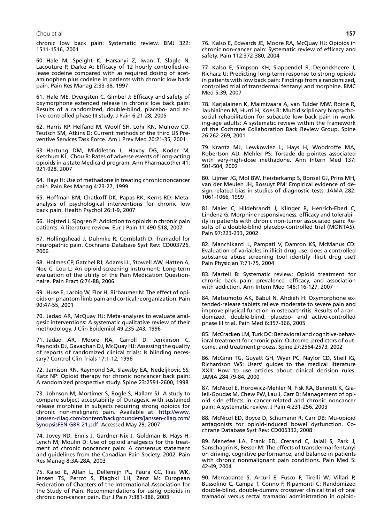<span id="page-10-0"></span>Chou et al **157** 

chronic low back pain: Systematic review. BMJ 322: 1511-1516, 2001

60. Hale M, Speight K, Harsanyi Z, Iwan T, Slagle N, Lacouture P, Darke A: Efficacy of 12 hourly controlled-release codeine compared with as required dosing of acetaminophen plus codeine in patients with chronic low back pain. Pain Res Manag 2:33-38, 1997

61. Hale ME, Dvergsten C, Gimbel J: Efficacy and safety of oxymorphone extended release in chronic low back pain: Results of a randomized, double-blind, placebo- and active-controlled phase III study. J Pain 6:21-28, 2005

62. Harris RP, Helfand M, Woolf SH, Lohr KN, Mulrow CD, Teutsch SM, Atkins D: Current methods of the third US Preventive Services Task Force. Am J Prev Med 20:21-35, 2001

63. Hartung DM, Middleton L, Haxby DG, Koder M, Ketchum KL, Chou R: Rates of adverse events of long-acting opioids in a state Medicaid program. Ann Pharmacother 41: 921-928, 2007

64. Hays H: Use of methadone in treating chronic noncancer pain. Pain Res Manag 4:23-27, 1999

65. Hoffman BM, Chatkoff DK, Papas RK, Kerns RD: Metaanalysis of psychological interventions for chronic low back pain. Health Psychol 26:1-9, 2007

66. Hojsted J, Sjogren P: Addiction to opioids in chronic pain patients: A literature review. Eur J Pain 11:490-518, 2007

67. Hollingshead J, Duhmke R, Cornblath D: Tramadol for neuropathic pain. Cochrane Database Syst Rev: CD003726, 2006

68. Holmes CP, Gatchel RJ, Adams LL, Stowell AW, Hatten A, Noe C, Lou L: An opioid screening instrument: Long-term evaluation of the utility of the Pain Medication Questionnaire. Pain Pract 6:74-88, 2006

69. Huse E, Larbig W, Flor H, Birbaumer N: The effect of opioids on phantom limb pain and cortical reorganization. Pain 90:47-55, 2001

70. Jadad AR, McQuay HJ: Meta-analyses to evaluate analgesic interventions: A systematic qualitative review of their methodology. J Clin Epidemiol 49:235-243, 1996

71. Jadad AR, Moore RA, Carroll D, Jenkinson C, Reynolds DJ, Gavaghan DJ, McQuay HJ: Assessing the quality of reports of randomized clinical trials: Is blinding necessary? Control Clin Trials 17:1-12, 1996

72. Jamison RN, Raymond SA, Slawsby EA, Nedeljkovic SS, Katz NP: Opioid therapy for chronic noncancer back pain: A randomized prospective study. Spine 23:2591-2600, 1998

73. Johnson M, Mortimer S, Bogle S, Hallam SJ. A study to compare subject acceptability of Duragesic with sustained release morphine in subjects requiring strong opioids for chronic non-malignant pain. Available at: [http://www.](http://www.janssen-cilag.com/content/backgrounders/janssen-cilag.com/SynopsisFEN-GBR-21.pdf) [janssen-cilag.com/content/backgrounders/janssen-cilag.com/](http://www.janssen-cilag.com/content/backgrounders/janssen-cilag.com/SynopsisFEN-GBR-21.pdf) [SynopsisFEN-GBR-21.pdf.](http://www.janssen-cilag.com/content/backgrounders/janssen-cilag.com/SynopsisFEN-GBR-21.pdf) Accessed May 29, 2007

74. Jovey RD, Ennis J, Gardner-Nix J, Goldman B, Hays H, Lynch M, Moulin D: Use of opioid analgesics for the treatment of chronic noncancer pain: A consensus statement and guidelines from the Canadian Pain Society, 2002. Pain Res Manag 8:3A-28A, 2003

75. Kalso E, Allan L, Dellemijn PL, Faura CC, Ilias WK, Jensen TS, Perrot S, Plaghki LH, Zenz M: European Federation of Chapters of the International Association for the Study of Pain: Recommendations for using opioids in chronic non-cancer pain. Eur J Pain 7:381-386, 2003

76. Kalso E, Edwards JE, Moore RA, McQuay HJ: Opioids in chronic non-cancer pain: Systematic review of efficacy and safety. Pain 112:372-380, 2004

77. Kalso E, Simpson KH, Slappendel R, Dejonckheere J, Richarz U: Predicting long-term response to strong opioids in patients with low back pain: Findings from a randomized, controlled trial of transdermal fentanyl and morphine. BMC Med 5:39, 2007

78. Karjalainen K, Malmivaara A, van Tulder MW, Roine R, Jauhiainen M, Hurri H, Koes B: Multidisciplinary biopsychosocial rehabilitation for subacute low back pain in working-age adults: A systematic review within the framework of the Cochrane Collaboration Back RevIew Group. Spine 26:262-269, 2001

79. Krantz MJ, Lewkowiez L, Hays H, Woodroffe MA, Robertson AD, Mehler PS: Torsade de pointes associated with very-high-dose methadone. Ann Intern Med 137: 501-504, 2002

80. Lijmer JG, Mol BW, Heisterkamp S, Bonsel GJ, Prins MH, van der Meulen JH, Bossuyt PM: Empirical evidence of design-related bias in studies of diagnostic tests. JAMA 282: 1061-1066, 1999

81. Maier C, Hildebrandt J, Klinger R, Henrich-Eberl C, Lindena G: Morphine responsiveness, efficacy and tolerability in patients with chronic non-tumor associated pain: Results of a double-blind placebo-controlled trial (MONTAS). Pain 97:223-233, 2002

82. Manchikanti L, Pampati V, Damron KS, McManus CD: Evaluation of variables in illicit drug use: does a controlled substance abuse screening tool identify illicit drug use? Pain Physician 7:71-75, 2004

83. Martell B: Systematic review: Opioid treatment for chronic back pain: prevalence, efficacy, and association with addiction. Ann Intern Med 146:116-127, 2007

84. Matsumoto AK, Babul N, Ahdieh H: Oxymorphone extended-release tablets relieve moderate to severe pain and improve physical function in osteoarthritis: Results of a randomized, double-blind, placebo- and active-controlled phase III trial. Pain Med 6:357-366, 2005

85. McCracken LM, Turk DC: Behavioral and cognitive-behavioral treatment for chronic pain: Outcome, predictors of outcome, and treatment process. Spine 27:2564-2573, 2002

86. McGinn TG, Guyatt GH, Wyer PC, Naylor CD, Stiell IG, Richardson WS: Users' guides to the medical literature XXII: How to use articles about clinical decision rules. JAMA 284:79-84, 2000

87. McNicol E, Horowicz-Mehler N, Fisk RA, Bennett K, Gialeli-Goudas M, Chew PW, Lau J, Carr D: Management of opioid side effects in cancer-related and chronic noncancer pain: A systematic review. J Pain 4:231-256, 2003

88. McNicol ED, Boyce D, Schumann R, Carr DB: Mu-opioid antagonists for opioid-induced bowel dysfunction. Cochrane Database Syst Rev: CD006332, 2008

89. Menefee LA, Frank ED, Crerand C, Jalali S, Park J, Sanschagrin K, Besser M: The effects of transdermal fentanyl on driving, cognitive performance, and balance in patients with chronic nonmalignant pain conditions. Pain Med 5: 42-49, 2004

90. Mercadante S, Arcuri E, Fusco F, Tirelli W, Villari P, Bussolino C, Campa T, Conno F, Ripamonti C: Randomized double-blind, double-dummy crossover clinical trial of oral tramadol versus rectal tramadol administration in opioid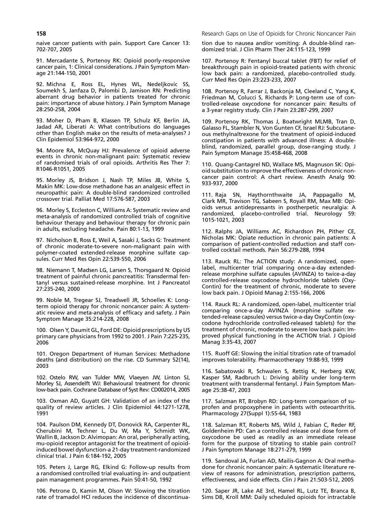naive cancer patients with pain. Support Care Cancer 13: 702-707, 2005

91. Mercadante S, Portenoy RK: Opioid poorly-responsive cancer pain, 1: Clinical considerations. J Pain Symptom Manage 21:144-150, 2001

92. Michna E, Ross EL, Hynes WL, Nedeljkovic SS, Soumekh S, Janfaza D, Palombi D, Jamison RN: Predicting aberrant drug behavior in patients treated for chronic pain: importance of abuse history. J Pain Symptom Manage 28:250-258, 2004

93. Moher D, Pham B, Klassen TP, Schulz KF, Berlin JA, Jadad AR, Liberati A: What contributions do languages other than English make on the results of meta-analyses? J Clin Epidemiol 53:964-972, 2000

94. Moore RA, McQuay HJ: Prevalence of opioid adverse events in chronic non-malignant pain: Systematic review of randomised trials of oral opioids. Arthritis Res Ther 7: R1046-R1051, 2005

95. Morley JS, Bridson J, Nash TP, Miles JB, White S, Makin MK: Low-dose methadone has an analgesic effect in neuropathic pain: A double-blind randomized controlled crossover trial. Palliat Med 17:576-587, 2003

96. Morley S, Eccleston C, Williams A: Systematic review and meta-analysis of randomized controlled trials of cognitive behaviour therapy and behaviour therapy for chronic pain in adults, excluding headache. Pain 80:1-13, 1999

97. Nicholson B, Ross E, Weil A, Sasaki J, Sacks G: Treatment of chronic moderate-to-severe non-malignant pain with polymer-coated extended-release morphine sulfate capsules. Curr Med Res Opin 22:539-550, 2006

98. Niemann T, Madsen LG, Larsen S, Thorsgaard N: Opioid treatment of painful chronic pancreatitis: Transdermal fentanyl versus sustained-release morphine. Int J Pancreatol 27:235-240, 2000

99. Noble M, Tregear SJ, Treadwell JR, Schoelles K: Longterm opioid therapy for chronic noncancer pain: A systematic review and meta-analysis of efficacy and safety. J Pain Symptom Manage 35:214-228, 2008

100. Olsen Y, Daumit GL, Ford DE: Opioid prescriptions by US primary care physicians from 1992 to 2001. J Pain 7:225-235, 2006

101. Oregon Department of Human Services: Methadone deaths (and distribution) on the rise. CD Summary 52(14), 2003

102. Ostelo RW, van Tulder MW, Vlaeyen JW, Linton SJ, Morley SJ, Assendelft WJ: Behavioural treatment for chronic low-back pain. Cochrane Database of Syst Rev: CD002014, 2005

103. Oxman AD, Guyatt GH: Validation of an index of the quality of review articles. J Clin Epidemiol 44:1271-1278, 1991

104. Paulson DM, Kennedy DT, Donovick RA, Carpenter RL, Cherubini M, Techner L, Du W, Ma Y, Schmidt WK, Wallin B, Jackson D: Alvimopan: An oral, peripherally acting, mu-opioid receptor antagonist for the treatment of opioidinduced bowel dysfunction-a 21-day treatment-randomized clinical trial. J Pain 6:184-192, 2005

105. Peters J, Large RG, Elkind G: Follow-up results from a randomised controlled trial evaluating in- and outpatient pain management programmes. Pain 50:41-50, 1992

106. Petrone D, Kamin M, Olson W: Slowing the titration rate of tramadol HCl reduces the incidence of discontinua-

<span id="page-11-0"></span>**158 158 Research Gaps on Use of Opioids for Chronic Noncancer Pain** 

tion due to nausea and/or vomiting: A double-blind randomized trial. J Clin Pharm Ther 24:115-123, 1999

107. Portenoy R: Fentanyl buccal tablet (FBT) for relief of breakthrough pain in opioid-treated patients with chronic low back pain: a randomized, placebo-controlled study. Curr Med Res Opin 23:223-233, 2007

108. Portenoy R, Farrar J, Backonja M, Cleeland C, Yang K, Friedman M, Colucci S, Richards P: Long-term use of controlled-release oxycodone for noncancer pain: Results of a 3-year registry study. Clin J Pain 23:287-299, 2007

109. Portenoy RK, Thomas J, Boatwright MLMB, Tran D, Galasso FL, Stambler N, Von Gunten CF, Israel RJ: Subcutaneous methylnaltrexone for the treatment of opioid-induced constipation in patients with advanced illness: A doubleblind, randomized, parallel group, dose-ranging study. J Pain Symptom Manage 35:458-468, 2008

110. Quang-Cantagrel ND, Wallace MS, Magnuson SK: Opioid substitution to improve the effectiveness of chronic noncancer pain control: A chart review. Anesth Analg 90: 933-937, 2000

111. Raja SN, Haythornthwaite JA, Pappagallo M, Clark MR, Travison TG, Sabeen S, Royall RM, Max MB: Opioids versus antidepressants in postherpetic neuralgia: A randomized, placebo-controlled trial. Neurology 59: 1015-1021, 2003

112. Ralphs JA, Williams AC, Richardson PH, Pither CE, Nicholas MK: Opiate reduction in chronic pain patients: A comparison of patient-controlled reduction and staff controlled cocktail methods. Pain 56:279-288, 1994

113. Rauck RL: The ACTION study: A randomized, openlabel, multicenter trial comparing once-a-day extendedrelease morphine sulfate capsules (AVINZA) to twice-a-day controlled-release oxycodone hydrochloride tablets (Oxy-Contin) for the treatment of chronic, moderate to severe low back pain. J Opioid Manag 2:155-166, 2006

114. Rauck RL: A randomized, open-label, multicenter trial comparing once-a-day AVINZA (morphine sulfate extended-release capsules) versus twice-a-day OxyContin (oxycodone hydrochloride controlled-released tablets) for the treatment of chronic, moderate to severe low back pain: Improved physical functioning in the ACTION trial. J Opioid Manag 3:35-43, 2007

115. Ruoff GE: Slowing the initial titration rate of tramadol improves tolerability. Pharmacotherapy 19:88-93, 1999

116. Sabatowski R, Schwalen S, Rettig K, Herberg KW, Kasper SM, Radbruch L: Driving ability under long-term treatment with transdermal fentanyl. J Pain Symptom Manage 25:38-47, 2003

117. Salzman RT, Brobyn RD: Long-term comparison of suprofen and propoxyphene in patients with osteoarthritis. Pharmacology 27(Suppl 1):55-64, 1983

118. Salzman RT, Roberts MS, Wild J, Fabian C, Reder RF, Goldenheim PD: Can a controlled release oral dose form of oxycodone be used as readily as an immediate release form for the purpose of titrating to stable pain control? J Pain Symptom Manage 18:271-279, 1999

119. Sandoval JA, Furlan AD, Mailis-Gagnon A: Oral methadone for chronic noncancer pain: A systematic literature review of reasons for administration, prescription patterns, effectiveness, and side effects. Clin J Pain 21:503-512, 2005

120. Saper JR, Lake AE 3rd, Hamel RL, Lutz TE, Branca B, Sims DB, Kroll MM: Daily scheduled opioids for intractable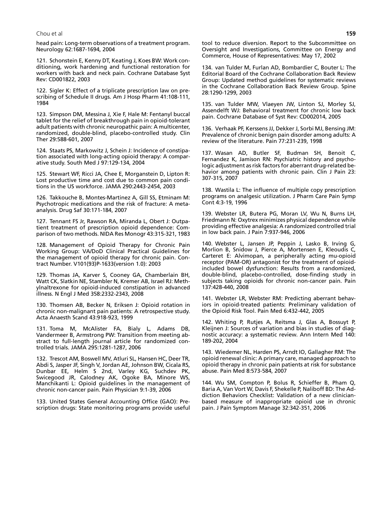#### <span id="page-12-0"></span>Chou et al **159**

head pain: Long-term observations of a treatment program. Neurology 62:1687-1694, 2004

121. Schonstein E, Kenny DT, Keating J, Koes BW: Work conditioning, work hardening and functional restoration for workers with back and neck pain. Cochrane Database Syst Rev: CD001822, 2003

122. Sigler K: Effect of a triplicate prescription law on prescribing of Schedule II drugs. Am J Hosp Pharm 41:108-111, 1984

123. Simpson DM, Messina J, Xie F, Hale M: Fentanyl buccal tablet for the relief of breakthrough pain in opioid-tolerant adult patients with chronic neuropathic pain: A multicenter, randomized, double-blind, placebo-controlled study. Clin Ther 29:588-601, 2007

124. Staats PS, Markowitz J, Schein J: Incidence of constipation associated with long-acting opioid therapy: A comparative study. South Med J 97:129-134, 2004

125. Stewart WF, Ricci JA, Chee E, Morganstein D, Lipton R: Lost productive time and cost due to common pain conditions in the US workforce. JAMA 290:2443-2454, 2003

126. Takkouche B, Montes-Martinez A, Gill SS, Etminam M: Psychotropic medications and the risk of fracture: A metaanalysis. Drug Saf 30:171-184, 2007

127. Tennant FS Jr, Rawson RA, Miranda L, Obert J: Outpatient treatment of prescription opioid dependence: Comparison of two methods. NIDA Res Monogr 43:315-321, 1983

128. Management of Opioid Therapy for Chronic Pain Working Group: VA/DoD Clinical Practical Guidelines for the management of opioid therapy for chronic pain. Contract Number. V101(93)P-1633(version 1.0): 2003

129. Thomas JA, Karver S, Cooney GA, Chamberlain BH, Watt CK, Slatkin NE, Stambler N, Kremer AB, Israel RJ: Methylnaltrexone for opioid-induced constipation in advanced illness. N Engl J Med 358:2332-2343, 2008

130. Thomsen AB, Becker N, Eriksen J: Opioid rotation in chronic non-malignant pain patients: A retrospective study. Acta Anaesth Scand 43:918-923, 1999

131. Toma M, McAlister FA, Bialy L, Adams DB, Vandermeer B, Armstrong PW: Transition from meeting abstract to full-length journal article for randomized controlled trials. JAMA 295:1281-1287, 2006

132. Trescot AM, Boswell MV, Atluri SL, Hansen HC, Deer TR, Abdi S, Jasper JF, Singh V, Jordan AE, Johnson BW, Cicala RS, Dunbar EE, Helm S 2nd, Varley KG, Suchdev PK, Swicegood JR, Calodney AK, Ogoke BA, Minore WS, Manchikanti L: Opioid guidelines in the management of chronic non-cancer pain. Pain Physician 9:1-39, 2006

133. United States General Accounting Office (GAO): Prescription drugs: State monitoring programs provide useful tool to reduce diversion. Report to the Subcommittee on Oversight and Investigations, Committee on Energy and Commerce, House of Representatives: May 17, 2002

134. van Tulder M, Furlan AD, Bombardier C, Bouter L: The Editorial Board of the Cochrane Collaboration Back Review Group: Updated method guidelines for systematic reviews in the Cochrane Collaboration Back Review Group. Spine 28:1290-1299, 2003

135. van Tulder MW, Vlaeyen JW, Linton SJ, Morley SJ, Assendelft WJ: Behavioral treatment for chronic low back pain. Cochrane Database of Syst Rev: CD002014, 2005

136. Verhaak PF, Kerssens JJ, Dekker J, Sorbi MJ, Bensing JM: Prevalence of chronic benign pain disorder among adults: A review of the literature. Pain 77:231-239, 1998

137. Wasan AD, Butler SF, Budman SH, Benoit C, Fernandez K, Jamison RN: Psychiatric history and psychologic adjustment as risk factors for aberrant drug-related behavior among patients with chronic pain. Clin J Pain 23: 307-315, 2007

138. Wastila L: The influence of multiple copy prescription programs on analgesic utilization. J Pharm Care Pain Symp Cont 4:3-19, 1996

139. Webster LR, Butera PG, Moran LV, Wu N, Burns LH, Friedmann N: Oxytrex minimizes physical dependence while providing effective analgesia: A randomized controlled trial in low back pain. J Pain 7:937-946, 2006

140. Webster L, Jansen JP, Peppin J, Lasko B, Irving G, Morlion B, Snidow J, Pierce A, Mortensen E, Kleoudis C, Carteret E: Alvimopan, a peripherally acting mu-opioid receptor (PAM-OR) antagonist for the treatment of opioidincluded bowel dysfunction: Results from a randomized, double-blind, placebo-controlled, dose-finding study in subjects taking opioids for chronic non-cancer pain. Pain 137:428-440, 2008

141. Webster LR, Webster RM: Predicting aberrant behaviors in opioid-treated patients: Preliminary validation of the Opioid Risk Tool. Pain Med 6:432-442, 2005

142. Whiting P, Rutjes A, Reitsma J, Glas A, Bossuyt P, Kleijnen J: Sources of variation and bias in studies of diagnostic accuracy: a systematic review. Ann Intern Med 140: 189-202, 2004

143. Wiedemer NL, Harden PS, Arndt IO, Gallagher RM: The opioid renewal clinic: A primary care, managed approach to opioid therapy in chronic pain patients at risk for substance abuse. Pain Med 8:573-584, 2007

144. Wu SM, Compton P, Bolus R, Schieffer B, Pham Q, Baria A, Van Vort W, Davis F, Shekelle P, Naliboff BD: The Addiction Behaviors Checklist: Validation of a new clinicianbased measure of inappropriate opioid use in chronic pain. J Pain Symptom Manage 32:342-351, 2006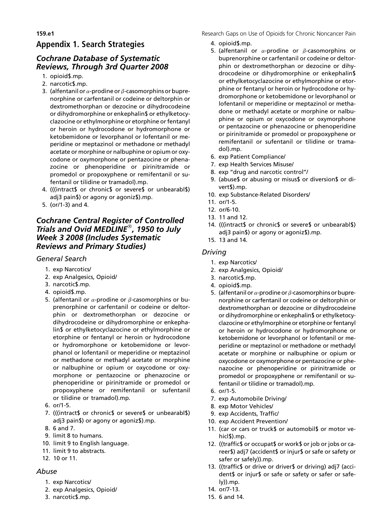# Appendix 1. Search Strategies

# Cochrane Database of Systematic Reviews, Through 3rd Quarter 2008

- 1. opioid\$.mp.
- 2. narcotic\$.mp.
- 3. (alfentanil or  $\alpha$ -prodine or  $\beta$ -casomorphins or buprenorphine or carfentanil or codeine or deltorphin or dextromethorphan or dezocine or dihydrocodeine or dihydromorphine or enkephalin\$ or ethylketocyclazocine or ethylmorphine or etorphine or fentanyl or heroin or hydrocodone or hydromorphone or ketobemidone or levorphanol or lofentanil or meperidine or meptazinol or methadone or methadyl acetate or morphine or nalbuphine or opium or oxycodone or oxymorphone or pentazocine or phenazocine or phenoperidine or pirinitramide or promedol or propoxyphene or remifentanil or sufentanil or tilidine or tramadol).mp.
- 4. (((intract\$ or chronic\$ or severe\$ or unbearabl\$) adj3 pain\$) or agony or agoniz\$).mp.
- 5. (or/1-3) and 4.

## Cochrane Central Register of Controlled Trials and Ovid MEDLINE®, 1950 to July Week 3 2008 (Includes Systematic Reviews and Primary Studies)

#### General Search

- 1. exp Narcotics/
- 2. exp Analgesics, Opioid/
- 3. narcotic\$.mp.
- 4. opioid\$.mp.
- 5. (alfentanil or  $\alpha$ -prodine or  $\beta$ -casomorphins or buprenorphine or carfentanil or codeine or deltorphin or dextromethorphan or dezocine or dihydrocodeine or dihydromorphine or enkephalin\$ or ethylketocyclazocine or ethylmorphine or etorphine or fentanyl or heroin or hydrocodone or hydromorphone or ketobemidone or levorphanol or lofentanil or meperidine or meptazinol or methadone or methadyl acetate or morphine or nalbuphine or opium or oxycodone or oxymorphone or pentazocine or phenazocine or phenoperidine or pirinitramide or promedol or propoxyphene or remifentanil or sufentanil or tilidine or tramadol).mp.
- 6. or/1-5.
- 7. (((intract\$ or chronic\$ or severe\$ or unbearabl\$) adj3 pain\$) or agony or agoniz\$).mp.
- 8. 6 and 7.
- 9. limit 8 to humans.
- 10. limit 9 to English language.
- 11. limit 9 to abstracts.
- 12. 10 or 11.

#### Abuse

- 1. exp Narcotics/
- 2. exp Analgesics, Opioid/
- 3. narcotic\$.mp.

<span id="page-13-0"></span>**159.e1 159.e1 Research Gaps on Use of Opioids for Chronic Noncancer Pain** 

- 4. opioid\$.mp.
- 5. (alfentanil or  $\alpha$ -prodine or  $\beta$ -casomorphins or buprenorphine or carfentanil or codeine or deltorphin or dextromethorphan or dezocine or dihydrocodeine or dihydromorphine or enkephalin\$ or ethylketocyclazocine or ethylmorphine or etorphine or fentanyl or heroin or hydrocodone or hydromorphone or ketobemidone or levorphanol or lofentanil or meperidine or meptazinol or methadone or methadyl acetate or morphine or nalbuphine or opium or oxycodone or oxymorphone or pentazocine or phenazocine or phenoperidine or pirinitramide or promedol or propoxyphene or remifentanil or sufentanil or tilidine or tramadol).mp.
- 6. exp Patient Compliance/
- 7. exp Health Services Misuse/
- 8. exp ''drug and narcotic control''/
- 9. (abuse\$ or abusing or misus\$ or diversion\$ or divert\$).mp.
- 10. exp Substance-Related Disorders/
- 11. or/1-5.
- 12. or/6-10.
- 13. 11 and 12.
- 14. (((intract\$ or chronic\$ or severe\$ or unbearabl\$) adj3 pain\$) or agony or agoniz\$).mp.
- 15. 13 and 14.

## Driving

- 1. exp Narcotics/
- 2. exp Analgesics, Opioid/
- 3. narcotic\$.mp.
- 4. opioid\$.mp.
- 5. (alfentanil or  $\alpha$ -prodine or  $\beta$ -casomorphins or buprenorphine or carfentanil or codeine or deltorphin or dextromethorphan or dezocine or dihydrocodeine or dihydromorphine or enkephalin\$ or ethylketocyclazocine or ethylmorphine or etorphine or fentanyl or heroin or hydrocodone or hydromorphone or ketobemidone or levorphanol or lofentanil or meperidine or meptazinol or methadone or methadyl acetate or morphine or nalbuphine or opium or oxycodone or oxymorphone or pentazocine or phenazocine or phenoperidine or pirinitramide or promedol or propoxyphene or remifentanil or sufentanil or tilidine or tramadol).mp.
- 6. or/1-5.
- 7. exp Automobile Driving/
- 8. exp Motor Vehicles/
- 9. exp Accidents, Traffic/
- 10. exp Accident Prevention/
- 11. (car or cars or truck\$ or automobil\$ or motor vehicl\$).mp.
- 12. ((traffic\$ or occupat\$ or work\$ or job or jobs or career\$) adj7 (accident\$ or injur\$ or safe or safety or safer or safely)).mp.
- 13. ((traffic\$ or drive or driver\$ or driving) adj7 (accident\$ or injur\$ or safe or safety or safer or safely)).mp.
- 14. or/7-13.
- 15. 6 and 14.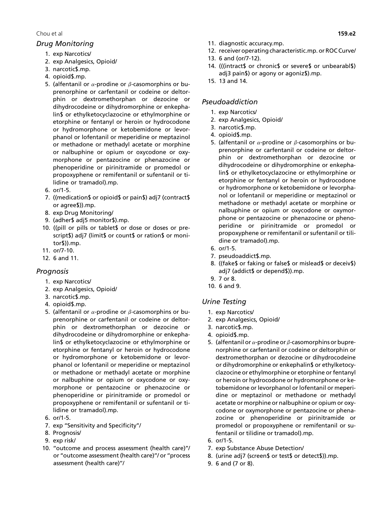#### Chou et al **159.e2**

#### Drug Monitoring

- 1. exp Narcotics/
- 2. exp Analgesics, Opioid/
- 3. narcotic\$.mp.
- 4. opioid\$.mp.
- 5. (alfentanil or  $\alpha$ -prodine or  $\beta$ -casomorphins or buprenorphine or carfentanil or codeine or deltorphin or dextromethorphan or dezocine or dihydrocodeine or dihydromorphine or enkephalin\$ or ethylketocyclazocine or ethylmorphine or etorphine or fentanyl or heroin or hydrocodone or hydromorphone or ketobemidone or levorphanol or lofentanil or meperidine or meptazinol or methadone or methadyl acetate or morphine or nalbuphine or opium or oxycodone or oxymorphone or pentazocine or phenazocine or phenoperidine or pirinitramide or promedol or propoxyphene or remifentanil or sufentanil or tilidine or tramadol).mp.
- 6. or/1-5.
- 7. ((medication\$ or opioid\$ or pain\$) adj7 (contract\$ or agree\$)).mp.
- 8. exp Drug Monitoring/
- 9. (adher\$ adj5 monitor\$).mp.
- 10. ((pill or pills or tablet\$ or dose or doses or prescript\$) adj7 (limit\$ or count\$ or ration\$ or monitor\$)).mp.
- 11. or/7-10.
- 12. 6 and 11.

#### Prognosis

- 1. exp Narcotics/
- 2. exp Analgesics, Opioid/
- 3. narcotic\$.mp.
- 4. opioid\$.mp.
- 5. (alfentanil or  $\alpha$ -prodine or  $\beta$ -casomorphins or buprenorphine or carfentanil or codeine or deltorphin or dextromethorphan or dezocine or dihydrocodeine or dihydromorphine or enkephalin\$ or ethylketocyclazocine or ethylmorphine or etorphine or fentanyl or heroin or hydrocodone or hydromorphone or ketobemidone or levorphanol or lofentanil or meperidine or meptazinol or methadone or methadyl acetate or morphine or nalbuphine or opium or oxycodone or oxymorphone or pentazocine or phenazocine or phenoperidine or pirinitramide or promedol or propoxyphene or remifentanil or sufentanil or tilidine or tramadol).mp.
- 6. or/1-5.
- 7. exp ''Sensitivity and Specificity''/
- 8. Prognosis/
- 9. exp risk/
- 10. ''outcome and process assessment (health care)''/ or ''outcome assessment (health care)''/ or ''process assessment (health care)''/
- 11. diagnostic accuracy.mp.
- 12. receiver operating characteristic.mp. or ROC Curve/
- 13. 6 and (or/7-12).
- 14. (((intract\$ or chronic\$ or severe\$ or unbearabl\$) adj3 pain\$) or agony or agoniz\$).mp.
- 15. 13 and 14.

## Pseudoaddiction

- 1. exp Narcotics/
- 2. exp Analgesics, Opioid/
- 3. narcotic\$.mp.
- 4. opioid\$.mp.
- 5. (alfentanil or  $\alpha$ -prodine or  $\beta$ -casomorphins or buprenorphine or carfentanil or codeine or deltorphin or dextromethorphan or dezocine or dihydrocodeine or dihydromorphine or enkephalin\$ or ethylketocyclazocine or ethylmorphine or etorphine or fentanyl or heroin or hydrocodone or hydromorphone or ketobemidone or levorphanol or lofentanil or meperidine or meptazinol or methadone or methadyl acetate or morphine or nalbuphine or opium or oxycodone or oxymorphone or pentazocine or phenazocine or phenoperidine or pirinitramide or promedol or propoxyphene or remifentanil or sufentanil or tilidine or tramadol).mp.
- 6. or/1-5.
- 7. pseudoaddict\$.mp.
- 8. ((fake\$ or faking or false\$ or mislead\$ or deceiv\$) adj7 (addict\$ or depend\$)).mp.
- 9. 7 or 8.
- 10. 6 and 9.

# Urine Testing

- 1. exp Narcotics/
- 2. exp Analgesics, Opioid/
- 3. narcotic\$.mp.
- 4. opioid\$.mp.
- 5. (alfentanil or  $\alpha$ -prodine or  $\beta$ -casomorphins or buprenorphine or carfentanil or codeine or deltorphin or dextromethorphan or dezocine or dihydrocodeine or dihydromorphine or enkephalin\$ or ethylketocyclazocine or ethylmorphine or etorphine or fentanyl or heroin or hydrocodone or hydromorphone or ketobemidone or levorphanol or lofentanil or meperidine or meptazinol or methadone or methadyl acetate or morphine or nalbuphine or opium or oxycodone or oxymorphone or pentazocine or phenazocine or phenoperidine or pirinitramide or promedol or propoxyphene or remifentanil or sufentanil or tilidine or tramadol).mp.
- 6. or/1-5.
- 7. exp Substance Abuse Detection/
- 8. (urine adj7 (screen\$ or test\$ or detect\$)).mp.
- 9. 6 and (7 or 8).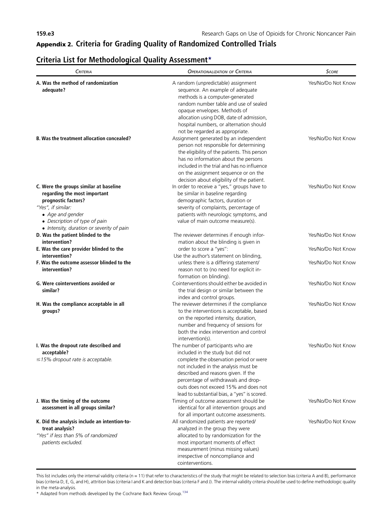# Appendix 2. Criteria for Grading Quality of Randomized Controlled Trials 159.e3 **Access 20 Access 20 Access 20 Access 20 Access 20 Access 20 Access 20 Access 20 Access 20 Access 20 Access 20 Access 20 Access 20 Access 20 Access 20 Access 20 Access 20 Access 20 Access 20 Access 20 Access 20 Acce**

# Criteria List for Methodological Quality Assessment\*

| <b>CRITERIA</b>                                                                                                                                                                                                       | <b>OPERATIONALIZATION OF CRITERIA</b>                                                                                                                                                                                                                                                                                             | <b>SCORE</b>       |
|-----------------------------------------------------------------------------------------------------------------------------------------------------------------------------------------------------------------------|-----------------------------------------------------------------------------------------------------------------------------------------------------------------------------------------------------------------------------------------------------------------------------------------------------------------------------------|--------------------|
| A. Was the method of randomization<br>adequate?                                                                                                                                                                       | A random (unpredictable) assignment<br>sequence. An example of adequate<br>methods is a computer-generated<br>random number table and use of sealed<br>opaque envelopes. Methods of<br>allocation using DOB, date of admission,<br>hospital numbers, or alternation should<br>not be regarded as appropriate.                     | Yes/No/Do Not Know |
| <b>B. Was the treatment allocation concealed?</b>                                                                                                                                                                     | Assignment generated by an independent<br>person not responsible for determining<br>the eligibility of the patients. This person<br>has no information about the persons<br>included in the trial and has no influence<br>on the assignment sequence or on the<br>decision about eligibility of the patient.                      | Yes/No/Do Not Know |
| C. Were the groups similar at baseline<br>regarding the most important<br>prognostic factors?<br>"Yes", if similar:<br>• Age and gender<br>• Description of type of pain<br>• Intensity, duration or severity of pain | In order to receive a "yes," groups have to<br>be similar in baseline regarding<br>demographic factors, duration or<br>severity of complaints, percentage of<br>patients with neurologic symptoms, and<br>value of main outcome measure(s).                                                                                       | Yes/No/Do Not Know |
| D. Was the patient blinded to the<br>intervention?                                                                                                                                                                    | The reviewer determines if enough infor-<br>mation about the blinding is given in                                                                                                                                                                                                                                                 | Yes/No/Do Not Know |
| E. Was the care provider blinded to the<br>intervention?                                                                                                                                                              | order to score a "yes":                                                                                                                                                                                                                                                                                                           | Yes/No/Do Not Know |
| F. Was the outcome assessor blinded to the<br>intervention?                                                                                                                                                           | Use the author's statement on blinding,<br>unless there is a differing statement/<br>reason not to (no need for explicit in-<br>formation on blinding).                                                                                                                                                                           | Yes/No/Do Not Know |
| G. Were cointerventions avoided or<br>similar?                                                                                                                                                                        | Cointerventions should either be avoided in<br>the trial design or similar between the<br>index and control groups.                                                                                                                                                                                                               | Yes/No/Do Not Know |
| H. Was the compliance acceptable in all<br>groups?                                                                                                                                                                    | The reviewer determines if the compliance<br>to the interventions is acceptable, based<br>on the reported intensity, duration,<br>number and frequency of sessions for<br>both the index intervention and control<br>intervention(s).                                                                                             | Yes/No/Do Not Know |
| I. Was the dropout rate described and<br>acceptable?<br>$\leq$ 15% dropout rate is acceptable.                                                                                                                        | The number of participants who are<br>included in the study but did not<br>complete the observation period or were<br>not included in the analysis must be<br>described and reasons given. If the<br>percentage of withdrawals and drop-<br>outs does not exceed 15% and does not<br>lead to substantial bias, a "yes" is scored. | Yes/No/Do Not Know |
| J. Was the timing of the outcome<br>assessment in all groups similar?                                                                                                                                                 | Timing of outcome assessment should be<br>identical for all intervention groups and<br>for all important outcome assessments.                                                                                                                                                                                                     | Yes/No/Do Not Know |
| K. Did the analysis include an intention-to-<br>treat analysis?<br>"Yes" if less than 5% of randomized<br>patients excluded.                                                                                          | All randomized patients are reported/<br>analyzed in the group they were<br>allocated to by randomization for the<br>most important moments of effect<br>measurement (minus missing values)<br>irrespective of noncompliance and<br>cointerventions.                                                                              | Yes/No/Do Not Know |

This list includes only the internal validity criteria (n = 11) that refer to characteristics of the study that might be related to selection bias (criteria A and B), performance bias (criteria D, E, G, and H), attrition bias (criteria I and K and detection bias (criteria F and J). The internal validity criteria should be used to define methodologic quality in the meta-analysis.

\* Adapted from methods developed by the Cochrane Back Review Group[.134](#page-12-0)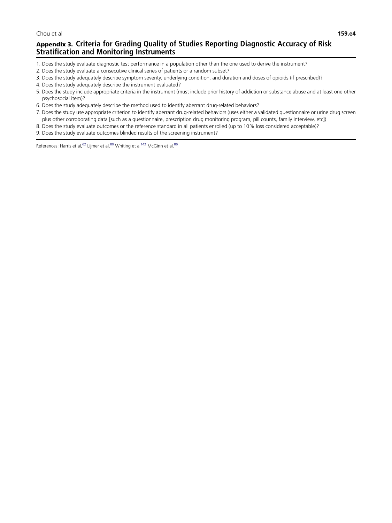### Appendix 3. Criteria for Grading Quality of Studies Reporting Diagnostic Accuracy of Risk Stratification and Monitoring Instruments

- 1. Does the study evaluate diagnostic test performance in a population other than the one used to derive the instrument?
- 2. Does the study evaluate a consecutive clinical series of patients or a random subset?
- 3. Does the study adequately describe symptom severity, underlying condition, and duration and doses of opioids (if prescribed)?
- 4. Does the study adequately describe the instrument evaluated?
- 5. Does the study include appropriate criteria in the instrument (must include prior history of addiction or substance abuse and at least one other psychosocial item)?
- 6. Does the study adequately describe the method used to identify aberrant drug-related behaviors?
- 7. Does the study use appropriate criterion to identify aberrant drug-related behaviors (uses either a validated questionnaire or urine drug screen plus other corroborating data [such as a questionnaire, prescription drug monitoring program, pill counts, family interview, etc])
- 8. Does the study evaluate outcomes or the reference standard in all patients enrolled (up to 10% loss considered acceptable)?
- 9. Does the study evaluate outcomes blinded results of the screening instrument?

References: Harris et al,<sup>[62](#page-10-0)</sup> Lijmer et al,<sup>[80](#page-10-0)</sup> Whiting et al<sup>[142](#page-12-0)</sup> McGinn et al.<sup>[86](#page-10-0)</sup>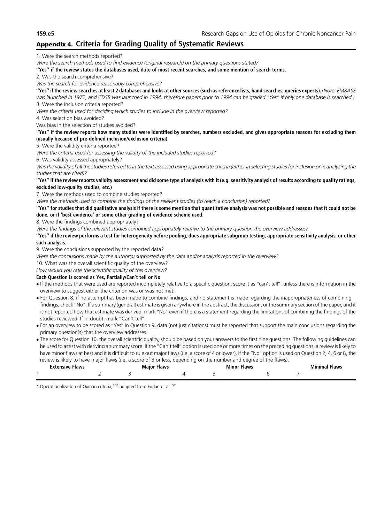#### Appendix 4. Criteria for Grading Quality of Systematic Reviews

#### 1. Were the search methods reported?

Were the search methods used to find evidence (original research) on the primary questions stated?

''Yes'' if the review states the databases used, date of most recent searches, and some mention of search terms.

2. Was the search comprehensive?

Was the search for evidence reasonably comprehensive?

"Yes" if the review searches at least 2 databases and looks at other sources (such as reference lists, hand searches, queries experts). (Note: EMBASE

was launched in 1972, and CDSR was launched in 1994, therefore papers prior to 1994 can be graded "Yes" if only one database is searched.) 3. Were the inclusion criteria reported?

Were the criteria used for deciding which studies to include in the overview reported?

4. Was selection bias avoided?

Was bias in the selection of studies avoided?

''Yes'' if the review reports how many studies were identified by searches, numbers excluded, and gives appropriate reasons for excluding them (usually because of pre-defined inclusion/exclusion criteria).

5. Were the validity criteria reported?

Were the criteria used for assessing the validity of the included studies reported?

6. Was validity assessed appropriately?

Was the validity of all the studies referred to in the text assessed using appropriate criteria (either in selecting studies for inclusion or in analyzing the studies that are cited)?

''Yes'' if the review reports validity assessment and did some type of analysis with it (e.g. sensitivity analysis of results according to quality ratings, excluded low-quality studies, etc.)

7. Were the methods used to combine studies reported?

Were the methods used to combine the findings of the relevant studies (to reach a conclusion) reported?

''Yes'' for studies that did qualitative analysis if there is some mention that quantitative analysis was not possible and reasons that it could not be done, or if 'best evidence' or some other grading of evidence scheme used.

8. Were the findings combined appropriately?

Were the findings of the relevant studies combined appropriately relative to the primary question the overview addresses?

''Yes'' if the review performs a test for heterogeneity before pooling, does appropriate subgroup testing, appropriate sensitivity analysis, or other such analysis.

9. Were the conclusions supported by the reported data?

Were the conclusions made by the author(s) supported by the data and/or analysis reported in the overview?

10. What was the overall scientific quality of the overview?

How would you rate the scientific quality of this overview?

#### Each Question is scored as Yes, Partially/Can't tell or No

- If the methods that were used are reported incompletely relative to a specific question, score it as ''can't tell'', unless there is information in the overview to suggest either the criterion was or was not met.
- For Question 8, if no attempt has been made to combine findings, and no statement is made regarding the inappropriateness of combining findings, check "No". If a summary (general) estimate is given anywhere in the abstract, the discussion, or the summary section of the paper, and it is not reported how that estimate was derived, mark ''No'' even if there is a statement regarding the limitations of combining the findings of the studies reviewed. If in doubt, mark ''Can't tell''.
- For an overview to be scored as ''Yes'' in Question 9, data (not just citations) must be reported that support the main conclusions regarding the primary question(s) that the overview addresses.
- The score for Question 10, the overall scientific quality, should be based on your answers to the first nine questions. The following guidelines can be used to assist with deriving a summary score: If the ''Can't tell'' option is used one or more times on the preceding questions, a review is likely to have minor flaws at best and it is difficult to rule out major flaws (i.e. a score of 4 or lower). If the "No" option is used on Question 2, 4, 6 or 8, the review is likely to have major flaws (i.e. a score of 3 or less, depending on the number and degree of the flaws).

| Extensive Flaws | Maior<br><b>Flaws</b> | . | <b>Minor Flaws</b> | <b>Minimal Flaws</b> |
|-----------------|-----------------------|---|--------------------|----------------------|
|                 |                       |   |                    |                      |

\* Operationalization of Oxman criteria,<sup>103</sup> adapted from Furlan et al. <sup>52</sup>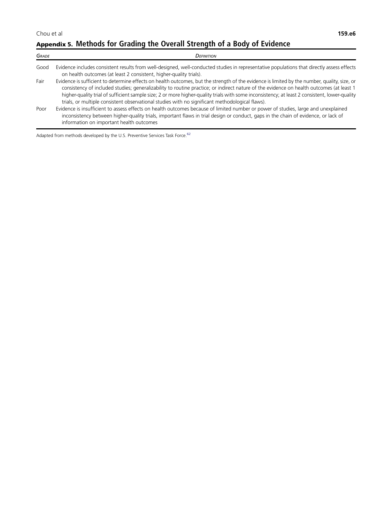# Appendix 5. Methods for Grading the Overall Strength of a Body of Evidence

| <b>GRADE</b> | <b>DEFINITION</b>                                                                                                                                                                                                                                                                                                                                                                                                                                                                                                                            |
|--------------|----------------------------------------------------------------------------------------------------------------------------------------------------------------------------------------------------------------------------------------------------------------------------------------------------------------------------------------------------------------------------------------------------------------------------------------------------------------------------------------------------------------------------------------------|
| Good         | Evidence includes consistent results from well-designed, well-conducted studies in representative populations that directly assess effects<br>on health outcomes (at least 2 consistent, higher-quality trials).                                                                                                                                                                                                                                                                                                                             |
| Fair         | Evidence is sufficient to determine effects on health outcomes, but the strength of the evidence is limited by the number, quality, size, or<br>consistency of included studies; generalizability to routine practice; or indirect nature of the evidence on health outcomes (at least 1<br>higher-quality trial of sufficient sample size; 2 or more higher-quality trials with some inconsistency; at least 2 consistent, lower-quality<br>trials, or multiple consistent observational studies with no significant methodological flaws). |
| Poor         | Evidence is insufficient to assess effects on health outcomes because of limited number or power of studies, large and unexplained<br>inconsistency between higher-quality trials, important flaws in trial design or conduct, gaps in the chain of evidence, or lack of<br>information on important health outcomes                                                                                                                                                                                                                         |

Adapted from methods developed by the U.S. Preventive Services Task Force.<sup>[62](#page-10-0)</sup>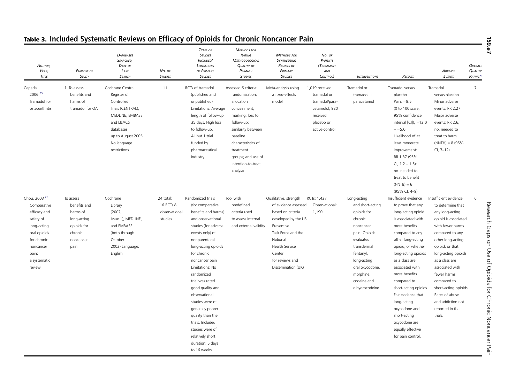| AUTHOR,<br>YEAR,<br>TITLE                                                                                                                                          | <b>PURPOSE OF</b><br>STUDY                                                                          | <b>DATABASES</b><br>SEARCHED,<br>DATE OF<br>LAST<br><b>SEARCH</b>                                                                                                     | No. of<br><b>STUDIES</b>                           | TYPES OF<br><b>STUDIES</b><br><b>INCLUDED</b><br><b>LIMITATIONS</b><br>OF PRIMARY<br><b>STUDIES</b>                                                                                                                                                                                                                                                                                                                                                     | <b>METHODS FOR</b><br>RATING<br><b>METHODOLOGICAL</b><br><b>QUALITY OF</b><br>PRIMARY<br><b>STUDIES</b>                                                                                                                             | <b>METHODS FOR</b><br><b>SYNTHESIZING</b><br><b>RESULTS OF</b><br>PRIMARY<br><b>STUDIES</b>                                                                                                                           | No. or<br>PATIENTS<br>(TREATMENT<br>AND<br>CONTROL)                                                           | <b>INTERVENTIONS</b>                                                                                                                                                                                              | RESULTS                                                                                                                                                                                                                                                                                                                                                                                                                     | ADVERSE<br>EVENTS                                                                                                                                                                                                                                                                                                                                            | OVERALL<br>QUALITY<br>RATING* |
|--------------------------------------------------------------------------------------------------------------------------------------------------------------------|-----------------------------------------------------------------------------------------------------|-----------------------------------------------------------------------------------------------------------------------------------------------------------------------|----------------------------------------------------|---------------------------------------------------------------------------------------------------------------------------------------------------------------------------------------------------------------------------------------------------------------------------------------------------------------------------------------------------------------------------------------------------------------------------------------------------------|-------------------------------------------------------------------------------------------------------------------------------------------------------------------------------------------------------------------------------------|-----------------------------------------------------------------------------------------------------------------------------------------------------------------------------------------------------------------------|---------------------------------------------------------------------------------------------------------------|-------------------------------------------------------------------------------------------------------------------------------------------------------------------------------------------------------------------|-----------------------------------------------------------------------------------------------------------------------------------------------------------------------------------------------------------------------------------------------------------------------------------------------------------------------------------------------------------------------------------------------------------------------------|--------------------------------------------------------------------------------------------------------------------------------------------------------------------------------------------------------------------------------------------------------------------------------------------------------------------------------------------------------------|-------------------------------|
| Cepeda,<br>2006 25<br>Tramadol for<br>osteoarthritis                                                                                                               | 1. To assess<br>benefits and<br>harms of<br>tramadol for OA                                         | Cochrane Central<br>Register of<br>Controlled<br>Trials (CENTRAL),<br>MEDLINE, EMBASE<br>and LILACS<br>databases<br>up to August 2005.<br>No language<br>restrictions | 11                                                 | RCTs of tramadol<br>(published and<br>unpublished)<br>Limitations: Average<br>length of follow-up<br>35 days. High loss<br>to follow-up.<br>All but 1 trial<br>funded by<br>pharmaceutical<br>industry                                                                                                                                                                                                                                                  | Assessed 6 criteria:<br>randomization;<br>allocation<br>concealment;<br>masking; loss to<br>follow-up;<br>similarity between<br>baseline<br>characteristics of<br>treatment<br>groups; and use of<br>intention-to-treat<br>analysis | Meta-analysis using<br>a fixed-effects<br>model                                                                                                                                                                       | 1,019 received<br>tramadol or<br>tramadol/para-<br>cetamolol; 920<br>received<br>placebo or<br>active-control | Tramadol or<br>tramadol $+$<br>paracetamol                                                                                                                                                                        | Tramadol versus<br>placebo<br>Pain: -8.5<br>(0 to 100 scale,<br>95% confidence<br>interval $[CI]$ ), $-12.0$<br>$--5.0$<br>Likelihood of at<br>least moderate<br>improvement:<br>RR 1.37 (95%<br>CI, $1.2 - 1.5$ ;<br>no. needed to<br>treat to benefit<br>$(NNTB) = 6$<br>(95% CI, 4-9)                                                                                                                                    | Tramadol<br>versus placebo<br>Minor adverse<br>events: RR 2.27<br>Major adverse<br>events: RR 2.6,<br>no. needed to<br>treat to harm<br>$(NNTH) = 8 (95%$<br>$CI, 7-12)$                                                                                                                                                                                     | $7\overline{ }$               |
| Chou, 2003 <sup>26</sup><br>Comparative<br>efficacy and<br>safety of<br>long-acting<br>oral opioids<br>for chronic<br>noncancer<br>pain:<br>a systematic<br>review | To assess<br>benefits and<br>harms of<br>long-acting<br>opioids for<br>chronic<br>noncancer<br>pain | Cochrane<br>Library<br>(2002,<br>Issue 1), MEDLINE,<br>and EMBASE<br>(both through<br>October<br>2002) Language:<br>English                                           | 24 total:<br>16 RCTs 8<br>observational<br>studies | Randomized trials<br>(for comparative<br>benefits and harms)<br>and observational<br>studies (for adverse<br>events only) of<br>nonparenteral<br>long-acting opioids<br>for chronic<br>noncancer pain<br>Limitations: No<br>randomized<br>trial was rated<br>good quality and<br>observational<br>studies were of<br>generally poorer<br>quality than the<br>trials. Included<br>studies were of<br>relatively short<br>duration: 5 days<br>to 16 weeks | Tool with<br>predefined<br>criteria used<br>to assess internal<br>and external validity                                                                                                                                             | Qualitative, strength<br>of evidence assessed<br>based on criteria<br>developed by the US<br>Preventive<br>Task Force and the<br>National<br><b>Health Service</b><br>Center<br>for reviews and<br>Dissemination (UK) | RCTs: 1,427<br>Observational:<br>1,190                                                                        | Long-acting<br>and short-acting<br>opioids for<br>chronic<br>noncancer<br>pain. Opioids<br>evaluated:<br>transdermal<br>fentanyl,<br>long-acting<br>oral oxycodone,<br>morphine,<br>codeine and<br>dihydrocodeine | Insufficient evidence<br>to prove that any<br>long-acting opioid<br>is associated with<br>more benefits<br>compared to any<br>other long-acting<br>opioid, or whether<br>long-acting opioids<br>as a class are<br>associated with<br>more benefits<br>compared to<br>short-acting opioids.<br>Fair evidence that<br>long-acting<br>oxycodone and<br>short-acting<br>oxycodone are<br>equally effective<br>for pain control. | Insufficient evidence<br>to determine that<br>any long-acting<br>opioid is associated<br>with fewer harms<br>compared to any<br>other long-acting<br>opioid, or that<br>long-acting opioids<br>as a class are<br>associated with<br>fewer harms<br>compared to<br>short-acting opioids.<br>Rates of abuse<br>and addiction not<br>reported in the<br>trials. | 6                             |

# <span id="page-19-0"></span>Table 3. Included Systematic Reviews on Efficacy of Opioids for Chronic Noncancer Pain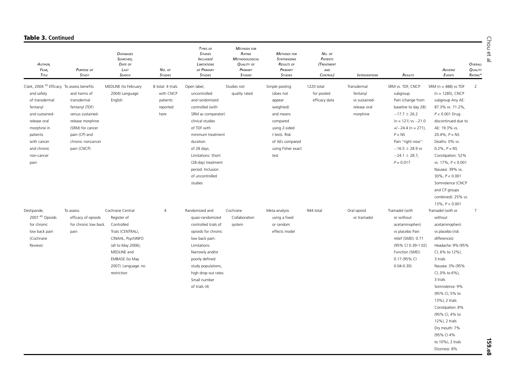| AUTHOR,<br>YEAR,<br>TITLE                                                                                                                                                                                          | <b>PURPOSE OF</b><br>STUDY                                                                                                                                      | <b>DATABASES</b><br>SEARCHED,<br>DATE OF<br>LAST<br><b>SEARCH</b>                                                                                                                    | No. of<br><b>STUDIES</b>                                       | TYPES OF<br><b>STUDIES</b><br><b>INCLUDEDI</b><br><b>LIMITATIONS</b><br>OF PRIMARY<br><b>STUDIES</b>                                                                                                                                                                      | <b>METHODS FOR</b><br>RATING<br>METHODOLOGICAL<br><b>QUALITY OF</b><br>PRIMARY<br><b>STUDIES</b> | <b>METHODS FOR</b><br>SYNTHESIZING<br><b>RESULTS OF</b><br>PRIMARY<br><b>STUDIES</b>                                                                             | No. of<br><b>PATIENTS</b><br>(TREATMENT<br>AND<br>CONTROL) | <b>INTERVENTIONS</b>                                                 | RESULTS                                                                                                                                                                                                                                      | ADVERSE<br>EVENTS                                                                                                                                                                                                                                                                                                                                                                       | Chou et al<br>OVERALL<br>QUALITY<br>RATING* |
|--------------------------------------------------------------------------------------------------------------------------------------------------------------------------------------------------------------------|-----------------------------------------------------------------------------------------------------------------------------------------------------------------|--------------------------------------------------------------------------------------------------------------------------------------------------------------------------------------|----------------------------------------------------------------|---------------------------------------------------------------------------------------------------------------------------------------------------------------------------------------------------------------------------------------------------------------------------|--------------------------------------------------------------------------------------------------|------------------------------------------------------------------------------------------------------------------------------------------------------------------|------------------------------------------------------------|----------------------------------------------------------------------|----------------------------------------------------------------------------------------------------------------------------------------------------------------------------------------------------------------------------------------------|-----------------------------------------------------------------------------------------------------------------------------------------------------------------------------------------------------------------------------------------------------------------------------------------------------------------------------------------------------------------------------------------|---------------------------------------------|
| Clark, 2004 <sup>30</sup> Efficacy To assess benefits<br>and safety<br>of transdermal<br>fentanyl<br>and sustained-<br>release oral<br>morphine in<br>patients<br>with cancer<br>and chronic<br>non-cancer<br>pain | and harms of<br>transdermal<br>fentanyl (TDF)<br>versus sustained-<br>release morphine<br>(SRM) for cancer<br>pain (CP) and<br>chronic noncancer<br>pain (CNCP) | MEDLINE (to February<br>2004) Language:<br>English                                                                                                                                   | 8 total: 4 trials<br>with CNCP<br>patients<br>reported<br>here | Open label,<br>uncontrolled<br>and randomized<br>controlled (with<br>SRM as comparator)<br>clinical studies<br>of TDF with<br>minimum treatment<br>duration<br>of 28 days.<br>Limitations: Short<br>(28-day) treatment<br>period. Inclusion<br>of uncontrolled<br>studies | Studies not<br>quality rated                                                                     | Simple pooling<br>(does not<br>appear<br>weighted)<br>and means<br>compared<br>using 2-sided<br>$t$ tests. Risk<br>of AEs compared<br>using Fisher exact<br>test | 1220 total<br>for pooled<br>efficacy data                  | Transdermal<br>fentanyl<br>vs sustained-<br>release oral<br>morphine | SRM vs. TDF, CNCP<br>subgroup<br>Pain (change from<br>baseline to day 28):<br>$-17.7 \pm 26.2$<br>$(n = 121)$ vs $-21.0$<br>$=-24.4$ (n = 271),<br>$P = NS$<br>Pain "right now":<br>$-16.5 \pm 28.9$ vs<br>$-24.1 \pm 28.7$ ,<br>$P = 0.017$ | SRM ( $n = 488$ ) vs TDF<br>$(n = 1285)$ , CNCP<br>subgroup Any AE:<br>87.3% vs. 71.2%,<br>$P < 0.001$ Drug<br>discontinued due to<br>AE: 19.3% vs.<br>20.4%, $P = NS$<br>Deaths: 0% vs.<br>$0.2\%$ , $P = NS$<br>Constipation: 52%<br>vs. 17%, P < 0.001<br>Nausea: 39% vs.<br>$30\%$ , $P < 0.001$<br>Somnolence (CNCP<br>and CP groups<br>combined): 25% vs.<br>$13\%$ , $P < 0.001$ | <sup>2</sup>                                |
| Deshpande,<br>2007 <sup>40</sup> Opioids<br>for chronic<br>low back pain<br>(Cochrane<br>Review)                                                                                                                   | To assess<br>efficacy of opioids<br>for chronic low back<br>pain                                                                                                | Cochrane Central<br>Register of<br>Controlled<br>Trials (CENTRAL),<br>CINAHL, PsychINFO<br>(all to May 2006);<br>MEDLINE and<br>EMBASE (to May<br>2007). Language: no<br>restriction | $\overline{4}$                                                 | Randomized and<br>quasi-randomized<br>controlled trials of<br>opioids for chronic<br>low back pain:<br>Limitations:<br>Narrowly and/or<br>poorly defined<br>study populations,<br>high drop out rates.<br>Small number<br>of trials (4)                                   | Cochrane<br>Collaboration<br>system                                                              | Meta-analysis<br>using a fixed<br>or random<br>effects model                                                                                                     | 944 total                                                  | Oral opioid<br>or tramadol                                           | Tramadol (with<br>or without<br>acetaminophen)<br>vs placebo Pain<br>relief (SMD): 0.71<br>(95% CI 0.39-1.02)<br>Function (SMD):<br>0.17 (95% CI<br>$0.04 - 0.30$                                                                            | Tramadol (with or<br>without<br>acetaminophen)<br>vs placebo (risk<br>differences)<br>Headache: 9% (95%<br>CI, 6% to 12%),<br>3 trials<br>Nausea: 3% (95%<br>CI, 0% to 6%),<br>3 trials<br>Somnolence: 9%<br>(95% CI, 5% to<br>13%), 2 trials<br>Constipation: 8%<br>(95% CI, 4% to<br>12%), 2 trials<br>Dry mouth: 7%<br>(95% CI 4%<br>to 10%), 2 trials<br>Dizziness: 8%              | $7\overline{ }$<br>159.e                    |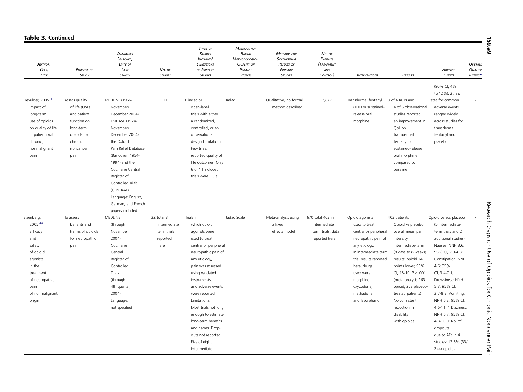| AUTHOR,<br>YEAR,<br>TITLE                                                                                                                                 | <b>PURPOSE OF</b><br>STUDY                                                                                                | <b>DATABASES</b><br>SEARCHED,<br>DATE OF<br>LAST<br><b>SEARCH</b>                                                                                                                                                                                                                                    | No. of<br><b>STUDIES</b>                                      | TYPES OF<br><b>STUDIES</b><br><b>INCLUDEDI</b><br><b>LIMITATIONS</b><br>OF PRIMARY<br><b>STUDIES</b>                                                                                                                                                                                                                                                                                       | <b>METHODS FOR</b><br>RATING<br>METHODOLOGICAL<br><b>QUALITY OF</b><br>PRIMARY<br><b>STUDIES</b> | <b>METHODS FOR</b><br><b>SYNTHESIZING</b><br><b>RESULTS OF</b><br>PRIMARY<br><b>STUDIES</b> | No. of<br>PATIENTS<br><b>(TREATMENT</b><br>AND<br>CONTROL)             | <b>INTERVENTIONS</b>                                                                                                                                                                                                                       | RESULTS                                                                                                                                                                                                                                                                                                                  | ADVERSE<br>EVENTS                                                                                                                                                                                                                                                                                                                                                                                    | OVERALL<br>QUALITY<br>RATING* |
|-----------------------------------------------------------------------------------------------------------------------------------------------------------|---------------------------------------------------------------------------------------------------------------------------|------------------------------------------------------------------------------------------------------------------------------------------------------------------------------------------------------------------------------------------------------------------------------------------------------|---------------------------------------------------------------|--------------------------------------------------------------------------------------------------------------------------------------------------------------------------------------------------------------------------------------------------------------------------------------------------------------------------------------------------------------------------------------------|--------------------------------------------------------------------------------------------------|---------------------------------------------------------------------------------------------|------------------------------------------------------------------------|--------------------------------------------------------------------------------------------------------------------------------------------------------------------------------------------------------------------------------------------|--------------------------------------------------------------------------------------------------------------------------------------------------------------------------------------------------------------------------------------------------------------------------------------------------------------------------|------------------------------------------------------------------------------------------------------------------------------------------------------------------------------------------------------------------------------------------------------------------------------------------------------------------------------------------------------------------------------------------------------|-------------------------------|
| Devulder, 2005 <sup>41</sup><br>Impact of<br>long-term<br>use of opioids<br>on quality of life<br>in patients with<br>chronic,<br>nonmalignant<br>pain    | Assess quality<br>of life (QoL)<br>and patient<br>function on<br>long-term<br>opioids for<br>chronic<br>noncancer<br>pain | MEDLINE (1966-<br>November/<br>December 2004),<br><b>EMBASE (1974-</b><br>November/<br>December 2004),<br>the Oxford<br>Pain Relief Database<br>(Bandolier; 1954-<br>1994) and the<br>Cochrane Central<br>Register of<br>Controlled Trials<br>(CENTRAL).<br>Language: English,<br>German, and French | 11                                                            | Blinded or<br>open-label<br>trials with either<br>a randomized,<br>controlled, or an<br>observational<br>design Limitations:<br>Few trials<br>reported quality of<br>life outcomes. Only<br>6 of 11 included<br>trials were RCTs                                                                                                                                                           | Jadad                                                                                            | Qualitative, no formal<br>method described                                                  | 2,877                                                                  | Transdermal fentanyl<br>(TDF) or sustained-<br>release oral<br>morphine                                                                                                                                                                    | 3 of 4 RCTs and<br>4 of 5 observational<br>studies reported<br>an improvement in<br>QoL on<br>transdermal<br>fentanyl or<br>sustained-release<br>oral morphine<br>compared to<br>baseline                                                                                                                                | (95% CI, 4%<br>to 12%), 2trials<br>Rates for common<br>adverse events<br>ranged widely<br>across studies for<br>transdermal<br>fentanyl and<br>placebo                                                                                                                                                                                                                                               | $\overline{2}$                |
| Eisenberg,<br>2005 44<br>Efficacy<br>and<br>safety<br>of opioid<br>agonists<br>in the<br>treatment<br>of neuropathic<br>pain<br>of nonmalignant<br>origin | To assess<br>benefits and<br>harms of opioids<br>for neuropathic<br>pain                                                  | papers included<br>MEDLINE<br>(through<br>November<br>$2004$ ),<br>Cochrane<br>Central<br>Register of<br>Controlled<br>Trials<br>(through<br>4th quarter,<br>$2004$ ).<br>Language:<br>not specified                                                                                                 | 22 total 8<br>intermediate<br>term trials<br>reported<br>here | Trials in<br>which opioid<br>agonists were<br>used to treat<br>central or peripheral<br>neuropathic pain of<br>any etiology,<br>pain was assessed<br>using validated<br>instruments,<br>and adverse events<br>were reported<br>Limitations:<br>Most trials not long<br>enough to estimate<br>long-term benefits<br>and harms. Drop-<br>outs not reported.<br>Five of eight<br>Intermediate | Jadad Scale                                                                                      | Meta-analysis using<br>a fixed<br>effects model                                             | 670 total 403 in<br>intermediate<br>term trials, data<br>reported here | Opioid agonists<br>used to treat<br>central or peripheral<br>neuropathic pain of<br>any etiology.<br>In intermediate term<br>trial results reported<br>here, drugs<br>used were<br>morphine,<br>oxycodone,<br>methadone<br>and levorphanol | 403 patients<br>Opioid vs placebo,<br>overall mean pain<br>intensity,<br>intermediate-term<br>(8 days to 8 weeks)<br>results: opioid 14<br>points lower, 95%<br>CI, 18-10, $P < .001$<br>(meta-analysis 263<br>opioid, 258 placebo-<br>treated patients)<br>No consistent<br>reduction in<br>disability<br>with opioids. | Opioid versus placebo<br>(5 intermediate-<br>term trials and 2<br>additional studies).<br>Nausea: NNH 3.6;<br>95% CI, 2.9-4.8;<br>Constipation: NNH<br>4.6; 95%<br>$CI, 3.4-7.1;$<br>Drowsiness: NNH<br>5.3; 95% CI,<br>3.7-8.3; Vomiting:<br>NNH 6.2; 95% CI,<br>4.6-11; 1 Dizziness:<br>NNH 6.7; 95% CI,<br>4.8-10.0; No. of<br>dropouts<br>due to AEs in 4<br>studies: 13.5% (33/<br>244) opioids | 7                             |

Research Gaps on Use of Opioids for Chronic Noncancer Pain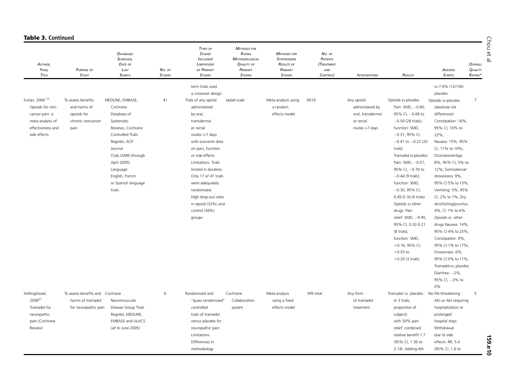| AUTHOR,<br>YEAR,<br>TITLE                                                                                                 | <b>PURPOSE OF</b><br>STUDY                                                     | <b>DATABASES</b><br><b>SEARCHED,</b><br>DATE OF<br>LAST<br><b>SEARCH</b>                                                                                                                                                                | No. of<br><b>STUDIES</b> | TYPES OF<br><b>STUDIES</b><br><b>INCLUDED</b><br><b>LIMITATIONS</b><br>OF PRIMARY<br><b>STUDIES</b>                                                                                                                                                                                                                                                                                           | <b>METHODS FOR</b><br>RATING<br><b>METHODOLOGICAL</b><br><b>QUALITY OF</b><br>PRIMARY<br><b>STUDIES</b> | <b>METHODS FOR</b><br>SYNTHESIZING<br><b>RESULTS OF</b><br>PRIMARY<br><b>STUDIES</b> | No. of<br>PATIENTS<br>(TREATMENT<br>AND<br>CONTROL) | <b>INTERVENTIONS</b>                                                              | RESULTS                                                                                                                                                                                                                                                                                                                                                                                                                                                                                         | ADVERSE<br>EVENTS                                                                                                                                                                                                                                                                                                                                                                                                                                                                                                                                   | OVERALL<br><b>QUALITY</b><br>RATING* |
|---------------------------------------------------------------------------------------------------------------------------|--------------------------------------------------------------------------------|-----------------------------------------------------------------------------------------------------------------------------------------------------------------------------------------------------------------------------------------|--------------------------|-----------------------------------------------------------------------------------------------------------------------------------------------------------------------------------------------------------------------------------------------------------------------------------------------------------------------------------------------------------------------------------------------|---------------------------------------------------------------------------------------------------------|--------------------------------------------------------------------------------------|-----------------------------------------------------|-----------------------------------------------------------------------------------|-------------------------------------------------------------------------------------------------------------------------------------------------------------------------------------------------------------------------------------------------------------------------------------------------------------------------------------------------------------------------------------------------------------------------------------------------------------------------------------------------|-----------------------------------------------------------------------------------------------------------------------------------------------------------------------------------------------------------------------------------------------------------------------------------------------------------------------------------------------------------------------------------------------------------------------------------------------------------------------------------------------------------------------------------------------------|--------------------------------------|
| Furlan, 2006 <sup>53</sup><br>Opioids for non-<br>cancer pain: a<br>meta-analysis of<br>effectiveness and<br>side effects | To assess benefits<br>and harms of<br>opioids for<br>chronic noncancer<br>pain | MEDLINE, EMBASE,<br>Cochrane<br>Database of<br>Systematic<br>Reviews, Cochrane<br>Controlled Trials<br>Register, ACP<br>Journal<br>Club, DARE (through<br>April 2005).<br>Language:<br>English, French<br>or Spanish language<br>trials | 41                       | term trials used<br>a crossover design<br>Trials of any opioid<br>administered<br>by oral,<br>transdermal<br>or rectal<br>routes $\geq$ 7 days<br>with outcome data<br>on pain, function<br>or side effects<br>Limitations: Trials<br>limited in duration.<br>Only 17 of 41 trials<br>were adequately<br>randomized.<br>High drop-out rates<br>in opioid (33%) and<br>control (38%)<br>groups | Jadad scale                                                                                             | Meta-analysis using<br>a random<br>effects model                                     | 6019                                                | Any opioid<br>administered by<br>oral, transdermal<br>or rectal<br>routes >7 days | Opioids vs placebo<br>Pain: SMD, -0.60,<br>95% CI, -0.69 to<br>$-0.50$ (28 trials);<br>function: SMD,<br>$-0.31$ , 95% CI,<br>$-0.41$ to $-0.22$ (20<br>trials)<br>Tramadol vs placebo:<br>Pain: SMD, -0.57,<br>95% CI, -0.70 to<br>$-0.44$ (9 trials);<br>function: SMD,<br>$-0.30$ , 95% CI,<br>0.45-0.16 (6 trials)<br>Opioids vs other<br>drugs: Pain<br>relief: SMD, -9.95,<br>95% CI, 0.32-0.21<br>(8 trials);<br>function: SMD,<br>$+0.16$ , 95% CI,<br>$+0.03$ to<br>$+0.20$ (3 trials) | vs 7.6% (12/156)<br>placebo<br>Opioids vs placebo<br>(absolute risk<br>differences)<br>Constipation: 16%,<br>95% CI, 10% to<br>22%;<br>Nausea: 15%, 95%<br>CI, 11% to 19%;<br>Dizziness/vertigo:<br>8%, 95% CI, 5% to<br>12%; Somnolence/<br>drowsiness: 9%,<br>95% CI 5% to 13%:<br>Vomiting: 5%, 95%<br>CI, 2% to 7%; Dry<br>skin/itching/pruritus:<br>4%, CI 1% to 6%.<br>Opioids vs. other<br>drugs Nausea: 14%,<br>95% CI 4% to 25%;<br>Constipation: 9%,<br>95% CI 1% to 17%;<br>Drowsiness: 6%,<br>95% CI 0% to 11%;<br>Tramadol vs. placebo | $\overline{7}$                       |
| Hollingshead,<br>200667<br>Tramadol for<br>neuropathic<br>pain (Cochrane<br>Review)                                       | To assess benefits and Cochrane<br>harms of tramadol<br>for neuropathic pain   | Neuromuscular<br>Disease Group Trials<br>Register, MEDLINE,<br><b>EMBASE and LILACS</b><br>(all to June 2005)                                                                                                                           | 6                        | Randomized and<br>"quasi-randomized"<br>controlled<br>trials of tramadol<br>versus placebo for<br>neuropathic pain<br>Limitations:<br>Differences in<br>methodology                                                                                                                                                                                                                           | Cochrane<br>Collaboration<br>system                                                                     | Meta-analysis<br>using a fixed<br>effects model                                      | 399 total                                           | Any form<br>of tramadol<br>treatment                                              | Tramadol vs. placebo<br>In 3 trials,<br>proportion of<br>subjects<br>with 50% pain<br>relief: combined<br>relative benefit 1.7<br>(95% CI, 1.36 to<br>2.14). Adding 4th                                                                                                                                                                                                                                                                                                                         | Diarrhea: -2%,<br>95% CI, -3% to<br>0%<br>No life-threatening<br>AEs or AEs requiring<br>hospitalization or<br>prolonged<br>hospital stays<br>Withdrawal<br>due to side<br>effects: RR, 5.4<br>(95% CI, 1.6 to                                                                                                                                                                                                                                                                                                                                      | 5                                    |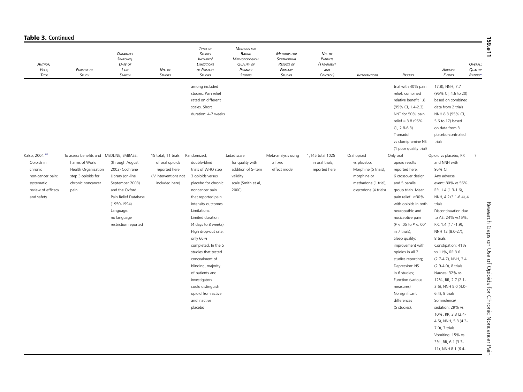| AUTHOR,<br>YEAR,<br><b>TITLE</b>                                                            | <b>PURPOSE OF</b><br>STUDY                                                               | <b>DATABASES</b><br>SEARCHED,<br>DATE OF<br>LAST<br><b>SEARCH</b>                                                                                                                      | No. of<br><b>STUDIES</b>                                                    | TYPES OF<br><b>STUDIES</b><br><b>INCLUDED/</b><br>LIMITATIONS<br>OF PRIMARY<br><b>STUDIES</b>                                                                                                                                                                                                                                                                                                                                               | <b>METHODS FOR</b><br>RATING<br>METHODOLOGICAL<br><b>QUALITY OF</b><br>PRIMARY<br><b>STUDIES</b> | <b>METHODS FOR</b><br>SYNTHESIZING<br><b>RESULTS OF</b><br>PRIMARY<br><b>STUDIES</b> | No. of<br>PATIENTS<br>(TREATMENT<br>$\sf AND$<br>CONTROL) | <b>INTERVENTIONS</b>                                                                                | RESULTS                                                                                                                                                                                                                                                                                                                                                                                                                                | ADVERSE<br>EVENTS                                                                                                                                                                                                                                                                                                                                                                                                                                                                                                                                                 | OVERALL<br>QUALITY<br>RATING* |
|---------------------------------------------------------------------------------------------|------------------------------------------------------------------------------------------|----------------------------------------------------------------------------------------------------------------------------------------------------------------------------------------|-----------------------------------------------------------------------------|---------------------------------------------------------------------------------------------------------------------------------------------------------------------------------------------------------------------------------------------------------------------------------------------------------------------------------------------------------------------------------------------------------------------------------------------|--------------------------------------------------------------------------------------------------|--------------------------------------------------------------------------------------|-----------------------------------------------------------|-----------------------------------------------------------------------------------------------------|----------------------------------------------------------------------------------------------------------------------------------------------------------------------------------------------------------------------------------------------------------------------------------------------------------------------------------------------------------------------------------------------------------------------------------------|-------------------------------------------------------------------------------------------------------------------------------------------------------------------------------------------------------------------------------------------------------------------------------------------------------------------------------------------------------------------------------------------------------------------------------------------------------------------------------------------------------------------------------------------------------------------|-------------------------------|
| Kalso, 2004 <sup>76</sup>                                                                   | To assess benefits and MEDLINE, EMBASE,                                                  |                                                                                                                                                                                        | 15 total; 11 trials                                                         | among included<br>studies. Pain relief<br>rated on different<br>scales. Short<br>duration: 4-7 weeks<br>Randomized,                                                                                                                                                                                                                                                                                                                         | Jadad scale                                                                                      | Meta-analysis using                                                                  | 1,145 total 1025                                          | Oral opioid                                                                                         | trial with 40% pain<br>relief: combined<br>relative benefit 1.8<br>(95% CI, 1.4-2.3).<br>NNT for 50% pain<br>relief = 3.8 (95%<br>$CI, 2.8-6.3)$<br>Tramadol<br>vs clomipramine NS<br>(1 poor quality trial)<br>Only oral                                                                                                                                                                                                              | 17.8); NNH, 7.7<br>(95% CI, 4.6 to 20)<br>based on combined<br>data from 2 trials<br>NNH 8.3 (95% CI,<br>5.6 to 17) based<br>on data from 3<br>placebo-controlled<br>trials<br>Opioid vs placebo, RR                                                                                                                                                                                                                                                                                                                                                              | $7\overline{ }$               |
| Opioids in<br>chronic<br>non-cancer pain:<br>systematic<br>review of efficacy<br>and safety | harms of World<br>Health Organization<br>step 3 opioids for<br>chronic noncancer<br>pain | (through August<br>2003) Cochrane<br>Library (on-line<br>September 2003)<br>and the Oxford<br>Pain Relief Database<br>(1950-1994).<br>Language:<br>no language<br>restriction reported | of oral opioids<br>reported here<br>(IV interventions not<br>included here) | double-blind<br>trials of WHO step<br>3 opioids versus<br>placebo for chronic<br>noncancer pain<br>that reported pain<br>intensity outcomes.<br>Limitations:<br>Limited duration<br>(4 days to 8 weeks).<br>High drop-out rate;<br>only 66%<br>completed. In the 5<br>studies that tested<br>concealment of<br>blinding, majority<br>of patients and<br>investigators<br>could distinguish<br>opioid from active<br>and inactive<br>placebo | for quality with<br>addition of 5-item<br>validity<br>scale (Smith et al,<br>2000)               | a fixed<br>effect model                                                              | in oral trials,<br>reported here                          | vs placebo:<br>Morphine (5 trials),<br>morphine or<br>methadone (1 trial),<br>oxycodone (4 trials). | opioid results<br>reported here.<br>6 crossover design<br>and 5 parallel<br>group trials. Mean<br>pain relief: ≥30%<br>with opioids in both<br>neuropathic and<br>nociceptive pain<br>( $P < .05$ to $P < .001$<br>in 7 trials);<br>Sleep quality:<br>improvement with<br>opioids in all 7<br>studies reporting;<br>Depression: NS<br>in 6 studies;<br>Function (various<br>measures)<br>No significant<br>differences<br>(5 studies). | and NNH with<br>95% CI<br>Any adverse<br>event: 80% vs 56%,<br>RR, 1.4 (1.3-1.6),<br>NNH, 4.2 (3.1-6.4), 4<br>trials<br>Discontinuation due<br>to AE: 24% vs15%,<br>RR, 1.4 (1.1-1.9),<br>NNH 12 (8.0-27),<br>8 trials<br>Constipation: 41%<br>vs 11%, RR 3.6<br>$(2.7-4.7)$ , NNH, 3.4<br>(2.9-4.0), 8 trials<br>Nausea: 32% vs<br>12%, RR, 2.7 (2.1-<br>3.6), NNH 5.0 (4.0-<br>6.4), 8 trials<br>Somnolence/<br>sedation: 29% vs<br>10%, RR, 3.3 (2.4-<br>4.5), NNH, 5.3 (4.3-<br>7.0), 7 trials<br>Vomiting: 15% vs<br>3%, RR, 6.1 (3.3-<br>11), NNH 8.1 (6.4- |                               |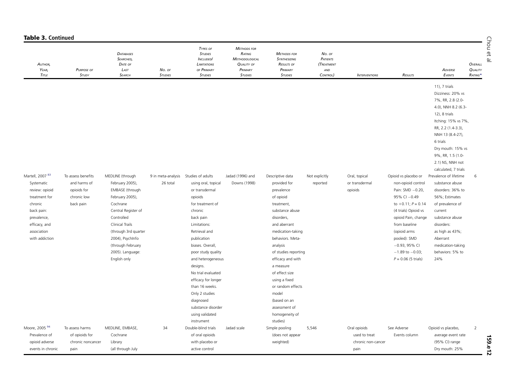| <b>Table 3. Continued</b>                                                               |                                                                               |                                                                                                                                                           |                                                  |                                                                                                                                                                                                                                                                                                      |                                                                                                         |                                                                                                                                                                                                                                                                                              |                                                            |                                                             |                                                                                                                                                                   |                                                                                                                                                                                                                                                                                                                                                                            |                               |
|-----------------------------------------------------------------------------------------|-------------------------------------------------------------------------------|-----------------------------------------------------------------------------------------------------------------------------------------------------------|--------------------------------------------------|------------------------------------------------------------------------------------------------------------------------------------------------------------------------------------------------------------------------------------------------------------------------------------------------------|---------------------------------------------------------------------------------------------------------|----------------------------------------------------------------------------------------------------------------------------------------------------------------------------------------------------------------------------------------------------------------------------------------------|------------------------------------------------------------|-------------------------------------------------------------|-------------------------------------------------------------------------------------------------------------------------------------------------------------------|----------------------------------------------------------------------------------------------------------------------------------------------------------------------------------------------------------------------------------------------------------------------------------------------------------------------------------------------------------------------------|-------------------------------|
| AUTHOR,<br>YEAR,<br>TITLE                                                               | <b>PURPOSE OF</b><br>STUDY                                                    | <b>DATABASES</b><br>SEARCHED,<br>DATE OF<br>LAST<br><b>SEARCH</b>                                                                                         | No. of<br><b>STUDIES</b>                         | TYPES OF<br><b>STUDIES</b><br><b>INCLUDEDI</b><br><b>LIMITATIONS</b><br>OF PRIMARY<br><b>STUDIES</b>                                                                                                                                                                                                 | <b>METHODS FOR</b><br>RATING<br><b>METHODOLOGICAL</b><br><b>QUALITY OF</b><br>PRIMARY<br><b>STUDIES</b> | <b>METHODS FOR</b><br>SYNTHESIZING<br><b>RESULTS OF</b><br>PRIMARY<br><b>STUDIES</b>                                                                                                                                                                                                         | No. of<br>PATIENTS<br><b>(TREATMENT</b><br>AND<br>CONTROL) | <b>INTERVENTIONS</b>                                        | RESULTS                                                                                                                                                           | ADVERSE<br>EVENTS                                                                                                                                                                                                                                                                                                                                                          | OVERALL<br>QUALITY<br>RATING* |
| Martell, 2007 <sup>83</sup><br>Systematic<br>review: opioid<br>treatment for<br>chronic | To assess benefits<br>and harms of<br>opioids for<br>chronic low<br>back pain | MEDLINE (through<br>February 2005),<br>EMBASE (through<br>February 2005),<br>Cochrane                                                                     | 9 in meta-analysis Studies of adults<br>26 total | using oral, topical<br>or transdermal<br>opioids<br>for treatment of                                                                                                                                                                                                                                 | Jadad (1996) and<br>Downs (1998)                                                                        | Descriptive data<br>provided for<br>prevalence<br>of opioid<br>treatment,                                                                                                                                                                                                                    | Not explicitly<br>reported                                 | Oral, topical<br>or transdermal<br>opioids                  | Opioid vs placebo or<br>non-opioid control<br>Pain: SMD -0.20,<br>95% CI -0.49<br>to $+0.11$ ; $P = 0.14$                                                         | 11), 7 trials<br>Dizziness: 20% vs<br>7%, RR, 2.8 (2.0-<br>4.0), NNH 8.2 (6.3-<br>12), 8 trials<br>Itching: 15% vs 7%,<br>RR, 2.2 (1.4-3.3),<br>NNH 13 (8.4-27),<br>6 trials<br>Dry mouth: 15% vs<br>9%, RR, 1.5 (1.0-<br>2.1) NS, NNH not<br>calculated, 7 trials<br>Prevalence of lifetime<br>substance abuse<br>disorders: 36% to<br>56%; Estimates<br>of prevalence of | 6                             |
| back pain:<br>prevalence,<br>efficacy, and<br>association<br>with addiction             |                                                                               | Central Register of<br>Controlled<br>Clinical Trails<br>(through 3rd quarter<br>2004), PsychInfo<br>(through February<br>2005). Language:<br>English only |                                                  | chronic<br>back pain<br>Limitations:<br>Retrieval and<br>publication<br>biases. Overall,<br>poor study quality<br>and heterogeneous<br>designs.<br>No trial evaluated<br>efficacy for longer<br>than 16 weeks.<br>Only 2 studies<br>diagnosed<br>substance disorder<br>using validated<br>instrument |                                                                                                         | substance abuse<br>disorders.<br>and aberrant<br>medication-taking<br>behaviors. Meta-<br>analysis<br>of studies reporting<br>efficacy and with<br>a measure<br>of effect size<br>using a fixed<br>or random effects<br>model<br>(based on an<br>assessment of<br>homogeneity of<br>studies) |                                                            |                                                             | (4 trials) Opioid vs<br>opioid Pain, change<br>from baseline<br>(opioid arms<br>pooled): SMD<br>$-0.93, 95\%$ CI<br>$-1.89$ to $-0.03$ ;<br>$P = 0.06$ (5 trials) | current<br>substance abuse<br>disorders:<br>as high as 43%;<br>Aberrant<br>medication-taking<br>behaviors: 5% to<br>24%                                                                                                                                                                                                                                                    |                               |
| Moore, 2005 94<br>Prevalence of<br>opioid adverse<br>events in chronic                  | To assess harms<br>of opioids for<br>chronic noncancer<br>pain                | MEDLINE, EMBASE,<br>Cochrane<br>Library<br>(all through July                                                                                              | 34                                               | Double-blind trials<br>of oral opioids<br>with placebo or<br>active control                                                                                                                                                                                                                          | Jadad scale                                                                                             | Simple pooling<br>(does not appear<br>weighted)                                                                                                                                                                                                                                              | 5,546                                                      | Oral opioids<br>used to treat<br>chronic non-cancer<br>pain | See Adverse<br>Events column                                                                                                                                      | Opioid vs placebo,<br>average event rate<br>(95% CI) range<br>Dry mouth: 25%                                                                                                                                                                                                                                                                                               | $\overline{2}$                |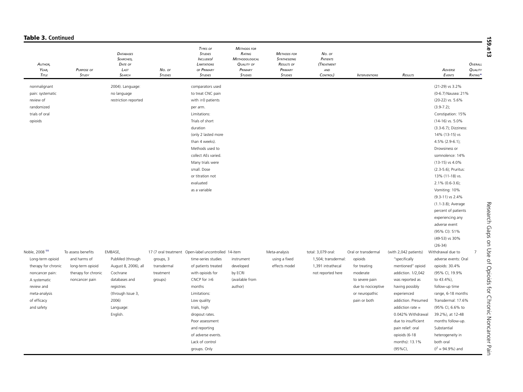| AUTHOR,<br>YEAR,<br>TITLE                                                                                                                                | <b>PURPOSE OF</b><br>STUDY                                                                      | <b>DATABASES</b><br>SEARCHED,<br>DATE OF<br>LAST<br><b>SEARCH</b>                                                                                    | No. of<br><b>STUDIES</b>                         | TYPES OF<br><b>STUDIES</b><br><b>INCLUDED</b><br><b>LIMITATIONS</b><br>OF PRIMARY<br><b>STUDIES</b>                                                                                                                                                                                                                 | <b>METHODS FOR</b><br>RATING<br><b>METHODOLOGICAL</b><br><b>QUALITY OF</b><br>PRIMARY<br><b>STUDIES</b> | <b>METHODS FOR</b><br><b>SYNTHESIZING</b><br><b>RESULTS OF</b><br>PRIMARY<br><b>STUDIES</b> | No. of<br>PATIENTS<br><b>(TREATMENT</b><br>AND<br>CONTROL)                          | <b>INTERVENTIONS</b>                                                                                                                 | RESULTS                                                                                                                                                                                                                                                                                            | ADVERSE<br>EVENTS                                                                                                                                                                                                                                                                                                                                                                                                                                       | OVERALL<br>QUALITY<br>RATING* |
|----------------------------------------------------------------------------------------------------------------------------------------------------------|-------------------------------------------------------------------------------------------------|------------------------------------------------------------------------------------------------------------------------------------------------------|--------------------------------------------------|---------------------------------------------------------------------------------------------------------------------------------------------------------------------------------------------------------------------------------------------------------------------------------------------------------------------|---------------------------------------------------------------------------------------------------------|---------------------------------------------------------------------------------------------|-------------------------------------------------------------------------------------|--------------------------------------------------------------------------------------------------------------------------------------|----------------------------------------------------------------------------------------------------------------------------------------------------------------------------------------------------------------------------------------------------------------------------------------------------|---------------------------------------------------------------------------------------------------------------------------------------------------------------------------------------------------------------------------------------------------------------------------------------------------------------------------------------------------------------------------------------------------------------------------------------------------------|-------------------------------|
| nonmalignant<br>pain: systematic<br>review of<br>randomized<br>trials of oral<br>opioids                                                                 |                                                                                                 | 2004). Language:<br>no language<br>restriction reported                                                                                              |                                                  | comparators used<br>to treat CNC pain<br>with $\geq 0$ patients<br>per arm.<br>Limitations:<br>Trials of short<br>duration<br>(only 2 lasted more<br>than 4 weeks).<br>Methods used to<br>collect AEs varied.<br>Many trials were<br>small. Dose<br>or titration not<br>evaluated<br>as a variable                  |                                                                                                         |                                                                                             |                                                                                     |                                                                                                                                      |                                                                                                                                                                                                                                                                                                    | (21-29) vs 3.2%<br>(0-6.7) Nausea: 21%<br>(20-22) vs. 5.6%<br>$(3.9 - 7.2)$ ;<br>Constipation: 15%<br>(14-16) vs. 5.0%<br>(3.3-6.7); Dizziness:<br>14% (13-15) vs<br>$4.5\%$ (2.9-6.1);<br>Drowsiness or<br>somnolence: 14%<br>(13-15) vs 4.0%<br>(2.3-5.6); Pruritus:<br>13% (11-18) vs.<br>$2.1\%$ (0.6-3.6);<br>Vomiting: 10%<br>(9.3-11) vs 2.4%<br>(1.1-3.8); Average<br>percent of patients<br>experiencing any<br>adverse event<br>(95% CI): 51% |                               |
| Noble, 2008 99<br>Long-term opioid<br>therapy for chronic<br>noncancer pain:<br>A systematic<br>review and<br>meta-analysis<br>of efficacy<br>and safety | To assess benefits<br>and harms of<br>long-term opioid<br>therapy for chronic<br>noncancer pain | EMBASE,<br>PubMed (through<br>August 8, 2006), all<br>Cochrane<br>databases and<br>registries<br>(through Issue 3,<br>2006)<br>Language:<br>English. | groups, 3<br>transdermal<br>treatment<br>groups) | 17 (7 oral treatment Open-label uncontrolled 14-item<br>time-series studies<br>of patients treated<br>with opioids for<br>CNCP for $\geq 6$<br>months<br>Limitations:<br>Low quality<br>trials, high<br>dropout rates.<br>Poor assessment<br>and reporting<br>of adverse events.<br>Lack of control<br>groups. Only | instrument<br>developed<br>by ECRI<br>(available from<br>author)                                        | Meta-analysis<br>using a fixed<br>effects model                                             | total: 3,079 oral:<br>1,504; transdermal:<br>1,391 intrathecal<br>not reported here | Oral or transdermal<br>opioids<br>for treating<br>moderate<br>to severe pain<br>due to nociceptive<br>or neuropathic<br>pain or both | (with 2,042 patients)<br>"specifically<br>mentioned" opioid<br>addiction. 1/2,042<br>was reported as<br>having possibly<br>experienced<br>addiction. Presumed<br>addiction rate $=$<br>0.042% Withdrawal<br>due to insufficient<br>pain relief: oral<br>opioids (6-18<br>months): 13.1%<br>(95%CI, | (49-53) vs 30%<br>$(26-34)$<br>Withdrawal due to<br>adverse events: Oral<br>opioids: 30.4%<br>(95% CI, 19.9%<br>to 43.4%),<br>follow-up time<br>range, 6-18 months<br>Transdermal: 17.6%<br>(95% CI, 6.6% to<br>39.2%), at 12-48<br>months follow-up.<br>Substantial<br>heterogeneity in<br>both oral<br>$(1^2 = 94.9\%)$ and                                                                                                                           | $\overline{7}$                |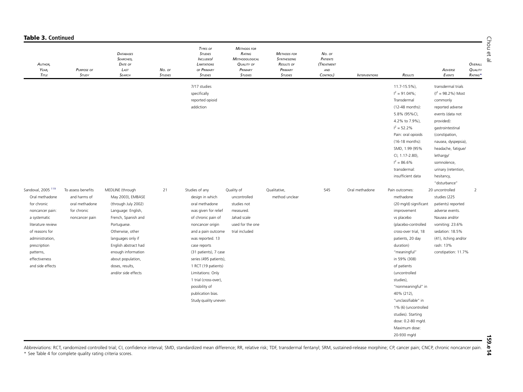| AUTHOR,<br>YEAR,<br>TITLE                                                                                                                                                                                                     | <b>PURPOSE OF</b><br>STUDY                                                            | <b>DATABASES</b><br>SEARCHED,<br>DATE OF<br>LAST<br><b>SEARCH</b>                                                                                                                                                                                                              | No. of<br><b>STUDIES</b> | TYPES OF<br><b>STUDIES</b><br><b>INCLUDEDI</b><br><b>LIMITATIONS</b><br>OF PRIMARY<br><b>STUDIES</b>                                                                                                                                                                                                                                                                   | <b>METHODS FOR</b><br>RATING<br><b>METHODOLOGICAL</b><br><b>QUALITY OF</b><br>PRIMARY<br><b>STUDIES</b>     | <b>METHODS FOR</b><br>SYNTHESIZING<br><b>RESULTS OF</b><br>PRIMARY<br><b>STUDIES</b> | No. of<br>PATIENTS<br>(TREATMENT<br>AND<br>CONTROL) | <b>INTERVENTIONS</b> | RESULTS                                                                                                                                                                                                                                                                                                                                                                                                       | ADVERSE<br>EVENTS                                                                                                                                                                                                                                                                  | OVERALL<br>QUALITY<br>RATING* |
|-------------------------------------------------------------------------------------------------------------------------------------------------------------------------------------------------------------------------------|---------------------------------------------------------------------------------------|--------------------------------------------------------------------------------------------------------------------------------------------------------------------------------------------------------------------------------------------------------------------------------|--------------------------|------------------------------------------------------------------------------------------------------------------------------------------------------------------------------------------------------------------------------------------------------------------------------------------------------------------------------------------------------------------------|-------------------------------------------------------------------------------------------------------------|--------------------------------------------------------------------------------------|-----------------------------------------------------|----------------------|---------------------------------------------------------------------------------------------------------------------------------------------------------------------------------------------------------------------------------------------------------------------------------------------------------------------------------------------------------------------------------------------------------------|------------------------------------------------------------------------------------------------------------------------------------------------------------------------------------------------------------------------------------------------------------------------------------|-------------------------------|
|                                                                                                                                                                                                                               |                                                                                       |                                                                                                                                                                                                                                                                                |                          | 7/17 studies<br>specifically<br>reported opioid<br>addiction                                                                                                                                                                                                                                                                                                           |                                                                                                             |                                                                                      |                                                     |                      | $11.7 - 15.5\%$ ),<br>$I^2 = 91.04\%$ ;<br>Transdermal<br>(12-48 months):<br>5.8% (95%CI,<br>4.2% to 7.9%),<br>$I^2 = 52.2\%$<br>Pain: oral opioids<br>(16-18 months):<br>SMD, 1.99 (95%<br>CI, 1.17-2.80),<br>$I^2 = 86.6\%$<br>transdermal:<br>insufficient data                                                                                                                                            | transdermal trials<br>$(I^2 = 98.2\%)$ Most<br>commonly<br>reported adverse<br>events (data not<br>provided):<br>gastrointestinal<br>(constipation,<br>nausea, dyspepsia),<br>headache, fatigue/<br>lethargy/<br>somnolence,<br>urinary (retention,<br>hesitancy,<br>"disturbance" |                               |
| Sandoval, 2005 <sup>119</sup><br>Oral methadone<br>for chronic<br>noncancer pain:<br>a systematic<br>literature review<br>of reasons for<br>administration,<br>prescription<br>patterns,<br>effectiveness<br>and side effects | To assess benefits<br>and harms of<br>oral methadone<br>for chronic<br>noncancer pain | MEDLINE (through<br>May 2003), EMBASE<br>(through July 2002)<br>Language: English,<br>French, Spanish and<br>Portuguese.<br>Otherwise, other<br>languages only if<br>English abstract had<br>enough information<br>about population,<br>doses, results,<br>and/or side effects | 21                       | Studies of any<br>design in which<br>oral methadone<br>was given for relief<br>of chronic pain of<br>noncancer origin<br>and a pain outcome<br>was reported. 13<br>case reports<br>(31 patients), 7 case<br>series (495 patients),<br>1 RCT (19 patients)<br>Limitations: Only<br>1 trial (cross-over),<br>possibility of<br>publication bias.<br>Study quality uneven | Quality of<br>uncontrolled<br>studies not<br>measured.<br>Jahad scale<br>used for the one<br>trial included | Qualitative,<br>method unclear                                                       | 545                                                 | Oral methadone       | Pain outcomes:<br>methadone<br>(20 mg/d) significant<br>improvement<br>vs placebo<br>(placebo-controlled<br>cross-over trial, 18<br>patients, 20 day<br>duration)<br>"meaningful"<br>in 59% (308)<br>of patients<br>(uncontrolled<br>studies),<br>"nonmeaningful" in<br>40% (212),<br>"unclassifiable" in<br>1% (6) (uncontrolled<br>studies). Starting<br>dose: 0.2-80 mg/d.<br>Maximum dose:<br>20-930 mg/d | 20 uncontrolled<br>studies (225<br>patients) reported<br>adverse events.<br>Nausea and/or<br>vomiting: 23.6%<br>sedation: 18.5%<br>(41), itching and/or<br>rash: 13%<br>constipation: 11.7%                                                                                        | $\overline{2}$                |

Abbreviations: RCT, randomized controlled trial; CI, confidence interval; SMD, standardized mean difference; RR, relative risk; TDF, transdermal fentanyl; SRM, sustained-release morphine; CP, cancer pain; CNCP, chronic non